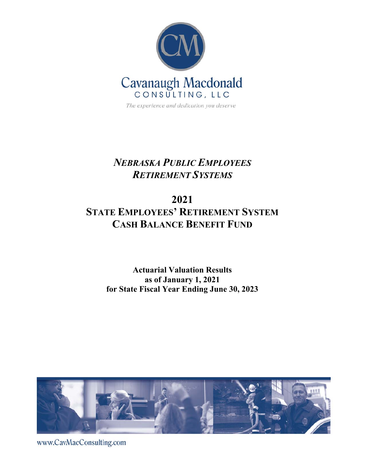

The experience and dedication you deserve

# *NEBRASKA PUBLIC EMPLOYEES RETIREMENT SYSTEMS*

# **2021 STATE EMPLOYEES' RETIREMENT SYSTEM CASH BALANCE BENEFIT FUND**

## **Actuarial Valuation Results as of January 1, 2021 for State Fiscal Year Ending June 30, 2023**



www.CavMacConsulting.com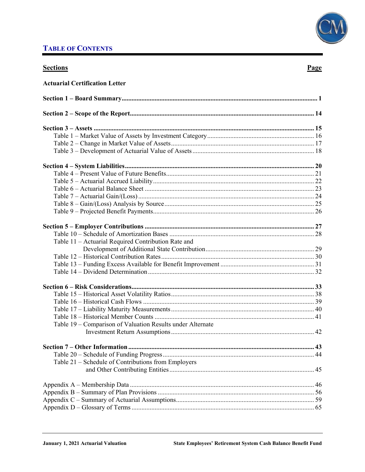## **TABLE OF CONTENTS**

### **Sections**

### Page

| <b>Actuarial Certification Letter</b>                      |  |
|------------------------------------------------------------|--|
|                                                            |  |
|                                                            |  |
|                                                            |  |
|                                                            |  |
|                                                            |  |
|                                                            |  |
|                                                            |  |
|                                                            |  |
|                                                            |  |
|                                                            |  |
|                                                            |  |
|                                                            |  |
|                                                            |  |
|                                                            |  |
|                                                            |  |
| Table 11 - Actuarial Required Contribution Rate and        |  |
|                                                            |  |
|                                                            |  |
|                                                            |  |
|                                                            |  |
|                                                            |  |
|                                                            |  |
|                                                            |  |
|                                                            |  |
|                                                            |  |
| Table 19 – Comparison of Valuation Results under Alternate |  |
|                                                            |  |
|                                                            |  |
|                                                            |  |
| Table 21 – Schedule of Contributions from Employers        |  |
|                                                            |  |
|                                                            |  |
|                                                            |  |
|                                                            |  |
|                                                            |  |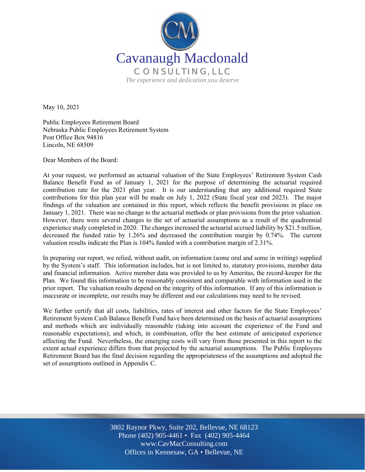

May 10, 2021

Public Employees Retirement Board Nebraska Public Employees Retirement System Post Office Box 94816 Lincoln, NE 68509

Dear Members of the Board:

At your request, we performed an actuarial valuation of the State Employees' Retirement System Cash Balance Benefit Fund as of January 1, 2021 for the purpose of determining the actuarial required contribution rate for the 2021 plan year. It is our understanding that any additional required State contributions for this plan year will be made on July 1, 2022 (State fiscal year end 2023). The major findings of the valuation are contained in this report, which reflects the benefit provisions in place on January 1, 2021. There was no change to the actuarial methods or plan provisions from the prior valuation. However, there were several changes to the set of actuarial assumptions as a result of the quadrennial experience study completed in 2020. The changes increased the actuarial accrued liability by \$21.5 million, decreased the funded ratio by 1.26% and decreased the contribution margin by 0.74%. The current valuation results indicate the Plan is 104% funded with a contribution margin of 2.31%.

In preparing our report, we relied, without audit, on information (some oral and some in writing) supplied by the System's staff. This information includes, but is not limited to, statutory provisions, member data and financial information. Active member data was provided to us by Ameritas, the record-keeper for the Plan. We found this information to be reasonably consistent and comparable with information used in the prior report. The valuation results depend on the integrity of this information. If any of this information is inaccurate or incomplete, our results may be different and our calculations may need to be revised.

We further certify that all costs, liabilities, rates of interest and other factors for the State Employees' Retirement System Cash Balance Benefit Fund have been determined on the basis of actuarial assumptions and methods which are individually reasonable (taking into account the experience of the Fund and reasonable expectations); and which, in combination, offer the best estimate of anticipated experience affecting the Fund. Nevertheless, the emerging costs will vary from those presented in this report to the extent actual experience differs from that projected by the actuarial assumptions. The Public Employees Retirement Board has the final decision regarding the appropriateness of the assumptions and adopted the set of assumptions outlined in Appendix C.

> Off Offices in Kennesaw, GA • Bellevue, NE 3802 Raynor Pkwy, Suite 202, Bellevue, NE 68123 Phone (402) 905-4461 • Fax (402) 905-4464 www.CavMacConsulting.com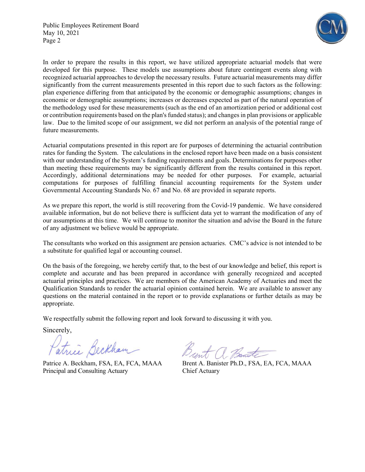

In order to prepare the results in this report, we have utilized appropriate actuarial models that were developed for this purpose. These models use assumptions about future contingent events along with recognized actuarial approaches to develop the necessary results. Future actuarial measurements may differ significantly from the current measurements presented in this report due to such factors as the following: plan experience differing from that anticipated by the economic or demographic assumptions; changes in economic or demographic assumptions; increases or decreases expected as part of the natural operation of the methodology used for these measurements (such as the end of an amortization period or additional cost or contribution requirements based on the plan's funded status); and changes in plan provisions or applicable law. Due to the limited scope of our assignment, we did not perform an analysis of the potential range of future measurements.

Actuarial computations presented in this report are for purposes of determining the actuarial contribution rates for funding the System. The calculations in the enclosed report have been made on a basis consistent with our understanding of the System's funding requirements and goals. Determinations for purposes other than meeting these requirements may be significantly different from the results contained in this report. Accordingly, additional determinations may be needed for other purposes. For example, actuarial computations for purposes of fulfilling financial accounting requirements for the System under Governmental Accounting Standards No. 67 and No. 68 are provided in separate reports.

As we prepare this report, the world is still recovering from the Covid-19 pandemic. We have considered available information, but do not believe there is sufficient data yet to warrant the modification of any of our assumptions at this time. We will continue to monitor the situation and advise the Board in the future of any adjustment we believe would be appropriate.

The consultants who worked on this assignment are pension actuaries. CMC's advice is not intended to be a substitute for qualified legal or accounting counsel.

On the basis of the foregoing, we hereby certify that, to the best of our knowledge and belief, this report is complete and accurate and has been prepared in accordance with generally recognized and accepted actuarial principles and practices. We are members of the American Academy of Actuaries and meet the Qualification Standards to render the actuarial opinion contained herein. We are available to answer any questions on the material contained in the report or to provide explanations or further details as may be appropriate.

We respectfully submit the following report and look forward to discussing it with you.

Sincerely,

Patrice Beckham<br>Patrice A. Beckham, FSA, EA, FCA, MAAA Brent A. Banister Ph.D., FSA, EA, FCA, MAAA

Principal and Consulting Actuary Chief Actuary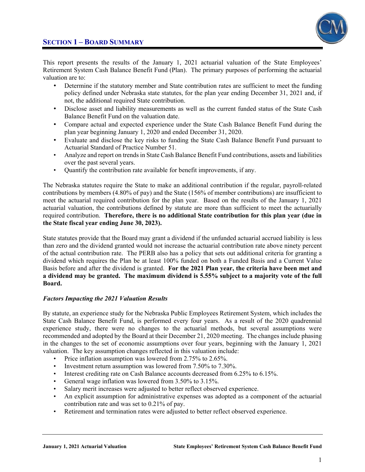

This report presents the results of the January 1, 2021 actuarial valuation of the State Employees' Retirement System Cash Balance Benefit Fund (Plan). The primary purposes of performing the actuarial valuation are to:

- Determine if the statutory member and State contribution rates are sufficient to meet the funding policy defined under Nebraska state statutes, for the plan year ending December 31, 2021 and, if not, the additional required State contribution.
- Disclose asset and liability measurements as well as the current funded status of the State Cash Balance Benefit Fund on the valuation date.
- Compare actual and expected experience under the State Cash Balance Benefit Fund during the plan year beginning January 1, 2020 and ended December 31, 2020.
- Evaluate and disclose the key risks to funding the State Cash Balance Benefit Fund pursuant to Actuarial Standard of Practice Number 51.
- Analyze and report on trends in State Cash Balance Benefit Fund contributions, assets and liabilities over the past several years.
- Quantify the contribution rate available for benefit improvements, if any.

The Nebraska statutes require the State to make an additional contribution if the regular, payroll-related contributions by members (4.80% of pay) and the State (156% of member contributions) are insufficient to meet the actuarial required contribution for the plan year. Based on the results of the January 1, 2021 actuarial valuation, the contributions defined by statute are more than sufficient to meet the actuarially required contribution. **Therefore, there is no additional State contribution for this plan year (due in the State fiscal year ending June 30, 2023).**

State statutes provide that the Board may grant a dividend if the unfunded actuarial accrued liability is less than zero and the dividend granted would not increase the actuarial contribution rate above ninety percent of the actual contribution rate. The PERB also has a policy that sets out additional criteria for granting a dividend which requires the Plan be at least 100% funded on both a Funded Basis and a Current Value Basis before and after the dividend is granted. **For the 2021 Plan year, the criteria have been met and a dividend may be granted. The maximum dividend is 5.55% subject to a majority vote of the full Board.** 

#### *Factors Impacting the 2021 Valuation Results*

By statute, an experience study for the Nebraska Public Employees Retirement System, which includes the State Cash Balance Benefit Fund, is performed every four years. As a result of the 2020 quadrennial experience study, there were no changes to the actuarial methods, but several assumptions were recommended and adopted by the Board at their December 21, 2020 meeting. The changes include phasing in the changes to the set of economic assumptions over four years, beginning with the January 1, 2021 valuation. The key assumption changes reflected in this valuation include:

- Price inflation assumption was lowered from 2.75% to 2.65%.
- Investment return assumption was lowered from 7.50% to 7.30%.
- Interest crediting rate on Cash Balance accounts decreased from 6.25% to 6.15%.
- General wage inflation was lowered from 3.50% to 3.15%.
- Salary merit increases were adjusted to better reflect observed experience.
- An explicit assumption for administrative expenses was adopted as a component of the actuarial contribution rate and was set to 0.21% of pay.
- Retirement and termination rates were adjusted to better reflect observed experience.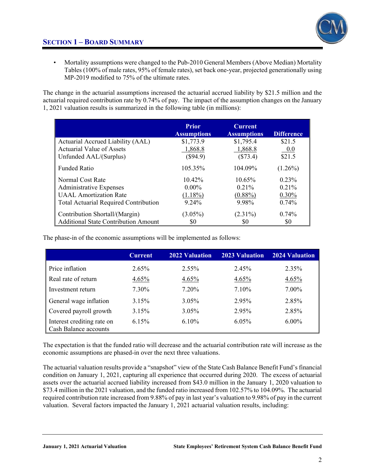

• Mortality assumptions were changed to the Pub-2010 General Members (Above Median) Mortality Tables (100% of male rates, 95% of female rates), set back one-year, projected generationally using MP-2019 modified to 75% of the ultimate rates.

The change in the actuarial assumptions increased the actuarial accrued liability by \$21.5 million and the actuarial required contribution rate by 0.74% of pay. The impact of the assumption changes on the January 1, 2021 valuation results is summarized in the following table (in millions):

|                                              | <b>Prior</b><br><b>Assumptions</b> | <b>Current</b><br><b>Assumptions</b> | <b>Difference</b> |
|----------------------------------------------|------------------------------------|--------------------------------------|-------------------|
| Actuarial Accrued Liability (AAL)            | \$1,773.9                          | \$1,795.4                            | \$21.5            |
| <b>Actuarial Value of Assets</b>             | 1,868.8                            | 1,868.8                              | 0.0               |
| Unfunded AAL/(Surplus)                       | (\$94.9)                           | (\$73.4)                             | \$21.5            |
| <b>Funded Ratio</b>                          | 105.35%                            | 104.09%                              | $(1.26\%)$        |
| Normal Cost Rate                             | $10.42\%$                          | 10.65%                               | $0.23\%$          |
| <b>Administrative Expenses</b>               | $0.00\%$                           | 0.21%                                | 0.21%             |
| <b>UAAL Amortization Rate</b>                | $(1.18\%)$                         | $(0.88\%)$                           | $0.30\%$          |
| <b>Total Actuarial Required Contribution</b> | 9.24%                              | 9.98%                                | 0.74%             |
| Contribution Shortall/(Margin)               | $(3.05\%)$                         | $(2.31\%)$                           | $0.74\%$          |
| <b>Additional State Contribution Amount</b>  | \$0                                | \$0                                  | \$0               |

The phase-in of the economic assumptions will be implemented as follows:

|                                                            | <b>Current</b> | <b>2022 Valuation</b> | <b>2023 Valuation</b> | 2024 Valuation |
|------------------------------------------------------------|----------------|-----------------------|-----------------------|----------------|
| Price inflation                                            | 2.65%          | $2.55\%$              | 2.45%                 | 2.35%          |
| Real rate of return                                        | 4.65%          | 4.65%                 | 4.65%                 | 4.65%          |
| Investment return                                          | 7.30%          | 7.20%                 | 7.10%                 | $7.00\%$       |
| General wage inflation                                     | 3.15%          | $3.05\%$              | 2.95%                 | 2.85%          |
| Covered payroll growth                                     | 3.15%          | $3.05\%$              | 2.95%                 | 2.85%          |
| Interest crediting rate on<br><b>Cash Balance accounts</b> | 6.15%          | $6.10\%$              | 6.05%                 | $6.00\%$       |

The expectation is that the funded ratio will decrease and the actuarial contribution rate will increase as the economic assumptions are phased-in over the next three valuations.

The actuarial valuation results provide a "snapshot" view of the State Cash Balance Benefit Fund's financial condition on January 1, 2021, capturing all experience that occurred during 2020. The excess of actuarial assets over the actuarial accrued liability increased from \$43.0 million in the January 1, 2020 valuation to \$73.4 million in the 2021 valuation, and the funded ratio increased from 102.57% to 104.09%. The actuarial required contribution rate increased from 9.88% of pay in last year's valuation to 9.98% of pay in the current valuation. Several factors impacted the January 1, 2021 actuarial valuation results, including: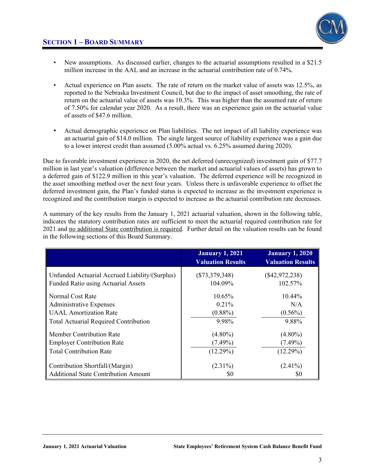

- New assumptions. As discussed earlier, changes to the actuarial assumptions resulted in a \$21.5 million increase in the AAL and an increase in the actuarial contribution rate of 0.74%.
- Actual experience on Plan assets. The rate of return on the market value of assets was 12.5%, as reported to the Nebraska Investment Council, but due to the impact of asset smoothing, the rate of return on the actuarial value of assets was 10.3%. This was higher than the assumed rate of return of 7.50% for calendar year 2020. As a result, there was an experience gain on the actuarial value of assets of \$47.6 million.
- Actual demographic experience on Plan liabilities. The net impact of all liability experience was an actuarial gain of \$14.0 million. The single largest source of liability experience was a gain due to a lower interest credit than assumed (5.00% actual vs. 6.25% assumed during 2020).

Due to favorable investment experience in 2020, the net deferred (unrecognized) investment gain of \$77.7 million in last year's valuation (difference between the market and actuarial values of assets) has grown to a deferred gain of \$122.9 million in this year's valuation. The deferred experience will be recognized in the asset smoothing method over the next four years. Unless there is unfavorable experience to offset the deferred investment gain, the Plan's funded status is expected to increase as the investment experience is recognized and the contribution margin is expected to increase as the actuarial contribution rate decreases.

A summary of the key results from the January 1, 2021 actuarial valuation, shown in the following table, indicates the statutory contribution rates are sufficient to meet the actuarial required contribution rate for 2021 and no additional State contribution is required. Further detail on the valuation results can be found in the following sections of this Board Summary.

|                                                | <b>January 1, 2021</b><br><b>Valuation Results</b> | <b>January 1, 2020</b><br><b>Valuation Results</b> |
|------------------------------------------------|----------------------------------------------------|----------------------------------------------------|
| Unfunded Actuarial Accrued Liability/(Surplus) | $(\$73,379,348)$                                   | $(\$42,972,238)$                                   |
| <b>Funded Ratio using Actuarial Assets</b>     | 104.09%                                            | 102.57%                                            |
| Normal Cost Rate                               | $10.65\%$                                          | $10.44\%$                                          |
| <b>Administrative Expenses</b>                 | 0.21%                                              | N/A                                                |
| <b>UAAL</b> Amortization Rate                  | $(0.88\%)$                                         | $(0.56\%)$                                         |
| <b>Total Actuarial Required Contribution</b>   | 9.98%                                              | 9.88%                                              |
| Member Contribution Rate                       | $(4.80\%)$                                         | $(4.80\%)$                                         |
| <b>Employer Contribution Rate</b>              | $(7.49\%)$                                         | $(7.49\%)$                                         |
| <b>Total Contribution Rate</b>                 | (12.29%)                                           | (12.29%)                                           |
| Contribution Shortfall/(Margin)                | $(2.31\%)$                                         | $(2.41\%)$                                         |
| <b>Additional State Contribution Amount</b>    | \$0                                                | 80                                                 |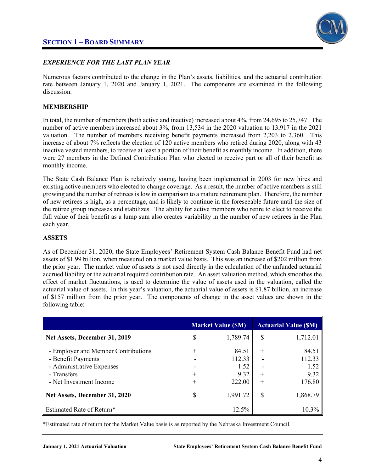

#### *EXPERIENCE FOR THE LAST PLAN YEAR*

Numerous factors contributed to the change in the Plan's assets, liabilities, and the actuarial contribution rate between January 1, 2020 and January 1, 2021. The components are examined in the following discussion.

#### **MEMBERSHIP**

In total, the number of members (both active and inactive) increased about 4%, from 24,695 to 25,747. The number of active members increased about 3%, from 13,534 in the 2020 valuation to 13,917 in the 2021 valuation. The number of members receiving benefit payments increased from 2,203 to 2,360. This increase of about 7% reflects the election of 120 active members who retired during 2020, along with 43 inactive vested members, to receive at least a portion of their benefit as monthly income. In addition, there were 27 members in the Defined Contribution Plan who elected to receive part or all of their benefit as monthly income.

The State Cash Balance Plan is relatively young, having been implemented in 2003 for new hires and existing active members who elected to change coverage. As a result, the number of active members is still growing and the number of retirees is low in comparison to a mature retirement plan. Therefore, the number of new retirees is high, as a percentage, and is likely to continue in the foreseeable future until the size of the retiree group increases and stabilizes. The ability for active members who retire to elect to receive the full value of their benefit as a lump sum also creates variability in the number of new retirees in the Plan each year.

#### **ASSETS**

As of December 31, 2020, the State Employees' Retirement System Cash Balance Benefit Fund had net assets of \$1.99 billion, when measured on a market value basis. This was an increase of \$202 million from the prior year. The market value of assets is not used directly in the calculation of the unfunded actuarial accrued liability or the actuarial required contribution rate. An asset valuation method, which smoothes the effect of market fluctuations, is used to determine the value of assets used in the valuation, called the actuarial value of assets. In this year's valuation, the actuarial value of assets is \$1.87 billion, an increase of \$157 million from the prior year. The components of change in the asset values are shown in the following table:

|                                     |        | <b>Market Value (SM)</b> |        | <b>Actuarial Value (SM)</b> |
|-------------------------------------|--------|--------------------------|--------|-----------------------------|
| Net Assets, December 31, 2019       | \$     | 1,789.74                 | S      | 1,712.01                    |
| - Employer and Member Contributions | $+$    | 84.51                    | $^{+}$ | 84.51                       |
| - Benefit Payments                  |        | 112.33                   |        | 112.33                      |
| - Administrative Expenses           |        | 1.52                     |        | 1.52                        |
| - Transfers                         | $^{+}$ | 9.32                     | $^{+}$ | 9.32                        |
| - Net Investment Income             | $^{+}$ | 222.00                   | $^{+}$ | 176.80                      |
| Net Assets, December 31, 2020       | \$     | 1,991.72                 | S      | 1,868.79                    |
| <b>Estimated Rate of Return*</b>    |        | 12.5%                    |        | $10.3\%$                    |

\*Estimated rate of return for the Market Value basis is as reported by the Nebraska Investment Council.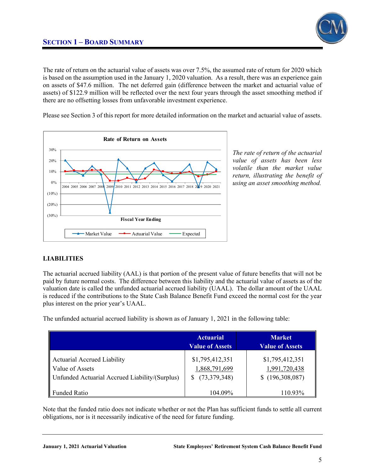

The rate of return on the actuarial value of assets was over 7.5%, the assumed rate of return for 2020 which is based on the assumption used in the January 1, 2020 valuation. As a result, there was an experience gain on assets of \$47.6 million. The net deferred gain (difference between the market and actuarial value of assets) of \$122.9 million will be reflected over the next four years through the asset smoothing method if there are no offsetting losses from unfavorable investment experience.

Please see Section 3 of this report for more detailed information on the market and actuarial value of assets.



*The rate of return of the actuarial value of assets has been less volatile than the market value return, illustrating the benefit of using an asset smoothing method.* 

#### **LIABILITIES**

The actuarial accrued liability (AAL) is that portion of the present value of future benefits that will not be paid by future normal costs. The difference between this liability and the actuarial value of assets as of the valuation date is called the unfunded actuarial accrued liability (UAAL). The dollar amount of the UAAL is reduced if the contributions to the State Cash Balance Benefit Fund exceed the normal cost for the year plus interest on the prior year's UAAL.

The unfunded actuarial accrued liability is shown as of January 1, 2021 in the following table:

|                                                                                                         | <b>Actuarial</b><br><b>Value of Assets</b>       | <b>Market</b><br><b>Value of Assets</b>             |
|---------------------------------------------------------------------------------------------------------|--------------------------------------------------|-----------------------------------------------------|
| <b>Actuarial Accrued Liability</b><br>Value of Assets<br>Unfunded Actuarial Accrued Liability/(Surplus) | \$1,795,412,351<br>1,868,791,699<br>(73,379,348) | \$1,795,412,351<br>1,991,720,438<br>\$(196,308,087) |
| <b>Funded Ratio</b>                                                                                     | 104.09%                                          | 110.93%                                             |

Note that the funded ratio does not indicate whether or not the Plan has sufficient funds to settle all current obligations, nor is it necessarily indicative of the need for future funding.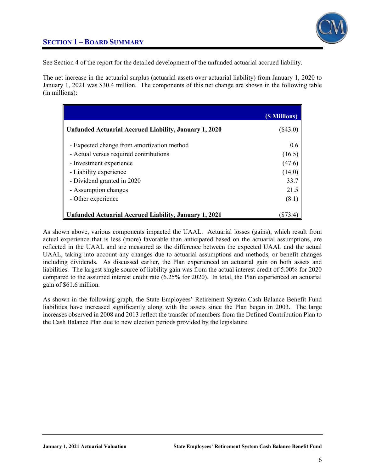

### **SECTION 1 – BOARD SUMMARY**

See Section 4 of the report for the detailed development of the unfunded actuarial accrued liability.

The net increase in the actuarial surplus (actuarial assets over actuarial liability) from January 1, 2020 to January 1, 2021 was \$30.4 million. The components of this net change are shown in the following table (in millions):

|                                                       | (\$ Millions) |
|-------------------------------------------------------|---------------|
| Unfunded Actuarial Accrued Liability, January 1, 2020 | (\$43.0)      |
| - Expected change from amortization method            | $0.6^{\circ}$ |
| - Actual versus required contributions                | (16.5)        |
| - Investment experience                               | (47.6)        |
| - Liability experience                                | (14.0)        |
| - Dividend granted in 2020                            | 33.7          |
| - Assumption changes                                  | 21.5          |
| - Other experience                                    | (8.1)         |
| Unfunded Actuarial Accrued Liability, January 1, 2021 | 1873.4        |

As shown above, various components impacted the UAAL. Actuarial losses (gains), which result from actual experience that is less (more) favorable than anticipated based on the actuarial assumptions, are reflected in the UAAL and are measured as the difference between the expected UAAL and the actual UAAL, taking into account any changes due to actuarial assumptions and methods, or benefit changes including dividends. As discussed earlier, the Plan experienced an actuarial gain on both assets and liabilities. The largest single source of liability gain was from the actual interest credit of 5.00% for 2020 compared to the assumed interest credit rate (6.25% for 2020). In total, the Plan experienced an actuarial gain of \$61.6 million.

As shown in the following graph, the State Employees' Retirement System Cash Balance Benefit Fund liabilities have increased significantly along with the assets since the Plan began in 2003. The large increases observed in 2008 and 2013 reflect the transfer of members from the Defined Contribution Plan to the Cash Balance Plan due to new election periods provided by the legislature.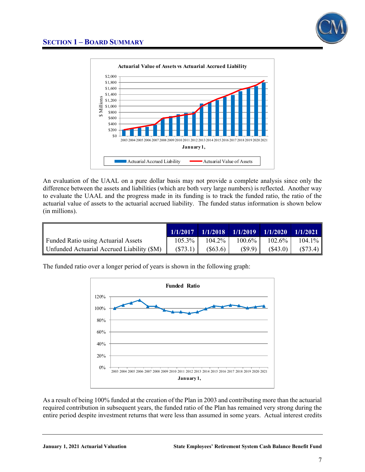



An evaluation of the UAAL on a pure dollar basis may not provide a complete analysis since only the difference between the assets and liabilities (which are both very large numbers) is reflected. Another way to evaluate the UAAL and the progress made in its funding is to track the funded ratio, the ratio of the actuarial value of assets to the actuarial accrued liability. The funded status information is shown below (in millions).

|                                            | 1/1/2017 | 1/1/2018  |           | $1/1/2019$ $1/1/2020$ | 1/1/2021  |
|--------------------------------------------|----------|-----------|-----------|-----------------------|-----------|
| Funded Ratio using Actuarial Assets        | 105.3%   | $104.2\%$ | $100.6\%$ | $102.6\%$             | $104.1\%$ |
| Unfunded Actuarial Accrued Liability (\$M) | (S73.1)  | (S63.6)   | (S9.9)    | (S43.0)               | (S73.4)   |

The funded ratio over a longer period of years is shown in the following graph:



As a result of being 100% funded at the creation of the Plan in 2003 and contributing more than the actuarial required contribution in subsequent years, the funded ratio of the Plan has remained very strong during the entire period despite investment returns that were less than assumed in some years. Actual interest credits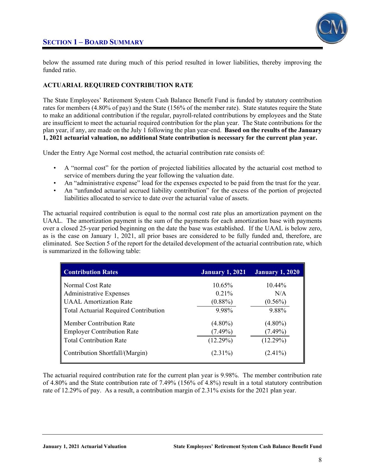

below the assumed rate during much of this period resulted in lower liabilities, thereby improving the funded ratio.

### **ACTUARIAL REQUIRED CONTRIBUTION RATE**

The State Employees' Retirement System Cash Balance Benefit Fund is funded by statutory contribution rates for members (4.80% of pay) and the State (156% of the member rate). State statutes require the State to make an additional contribution if the regular, payroll-related contributions by employees and the State are insufficient to meet the actuarial required contribution for the plan year. The State contributions for the plan year, if any, are made on the July 1 following the plan year-end. **Based on the results of the January 1, 2021 actuarial valuation, no additional State contribution is necessary for the current plan year.**

Under the Entry Age Normal cost method, the actuarial contribution rate consists of:

- A "normal cost" for the portion of projected liabilities allocated by the actuarial cost method to service of members during the year following the valuation date.
- An "administrative expense" load for the expenses expected to be paid from the trust for the year.
- An "unfunded actuarial accrued liability contribution" for the excess of the portion of projected liabilities allocated to service to date over the actuarial value of assets.

The actuarial required contribution is equal to the normal cost rate plus an amortization payment on the UAAL. The amortization payment is the sum of the payments for each amortization base with payments over a closed 25-year period beginning on the date the base was established. If the UAAL is below zero, as is the case on January 1, 2021, all prior bases are considered to be fully funded and, therefore, are eliminated. See Section 5 of the report for the detailed development of the actuarial contribution rate, which is summarized in the following table:

| <b>Contribution Rates</b>             | <b>January 1, 2021</b> | <b>January 1, 2020</b> |
|---------------------------------------|------------------------|------------------------|
| Normal Cost Rate                      | 10.65%                 | $10.44\%$              |
| <b>Administrative Expenses</b>        | 0.21%                  | N/A                    |
| <b>UAAL</b> Amortization Rate         | $(0.88\%)$             | $(0.56\%)$             |
| Total Actuarial Required Contribution | 9.98%                  | 9.88%                  |
| Member Contribution Rate              | $(4.80\%)$             | $(4.80\%)$             |
| <b>Employer Contribution Rate</b>     | $(7.49\%)$             | $(7.49\%)$             |
| <b>Total Contribution Rate</b>        | (12.29%)               | (12.29%)               |
| Contribution Shortfall/(Margin)       | $(2.31\%)$             | $(2.41\%)$             |

The actuarial required contribution rate for the current plan year is 9.98%. The member contribution rate of 4.80% and the State contribution rate of 7.49% (156% of 4.8%) result in a total statutory contribution rate of 12.29% of pay. As a result, a contribution margin of 2.31% exists for the 2021 plan year.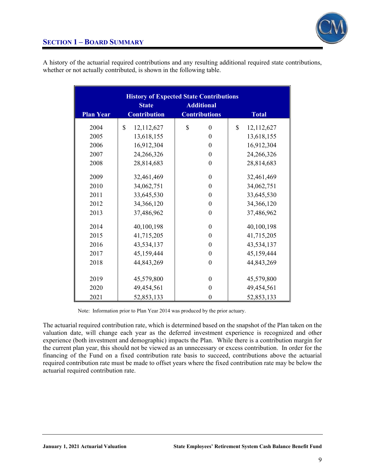

| <b>Plan Year</b> | <b>State</b><br><b>Contribution</b> | <b>History of Expected State Contributions</b><br><b>Additional</b><br><b>Contributions</b> | <b>Total</b>     |
|------------------|-------------------------------------|---------------------------------------------------------------------------------------------|------------------|
| 2004             | \$<br>12,112,627                    | \$<br>$\boldsymbol{0}$                                                                      | \$<br>12,112,627 |
| 2005             | 13,618,155                          | $\mathbf{0}$                                                                                | 13,618,155       |
| 2006             | 16,912,304                          | $\boldsymbol{0}$                                                                            | 16,912,304       |
| 2007             | 24,266,326                          | $\boldsymbol{0}$                                                                            | 24,266,326       |
| 2008             | 28,814,683                          | $\mathbf{0}$                                                                                | 28,814,683       |
| 2009             | 32,461,469                          | $\mathbf{0}$                                                                                | 32,461,469       |
| 2010             | 34,062,751                          | $\boldsymbol{0}$                                                                            | 34,062,751       |
| 2011             | 33,645,530                          | $\theta$                                                                                    | 33,645,530       |
| 2012             | 34,366,120                          | $\theta$                                                                                    | 34,366,120       |
| 2013             | 37,486,962                          | $\boldsymbol{0}$                                                                            | 37,486,962       |
| 2014             | 40,100,198                          | $\theta$                                                                                    | 40,100,198       |
| 2015             | 41,715,205                          | $\boldsymbol{0}$                                                                            | 41,715,205       |
| 2016             | 43,534,137                          | $\boldsymbol{0}$                                                                            | 43,534,137       |
| 2017             | 45,159,444                          | $\boldsymbol{0}$                                                                            | 45,159,444       |
| 2018             | 44,843,269                          | $\boldsymbol{0}$                                                                            | 44,843,269       |
| 2019             | 45,579,800                          | $\theta$                                                                                    | 45,579,800       |
| 2020             | 49,454,561                          | $\theta$                                                                                    | 49,454,561       |
| 2021             | 52,853,133                          | $\theta$                                                                                    | 52,853,133       |

A history of the actuarial required contributions and any resulting additional required state contributions, whether or not actually contributed, is shown in the following table.

> Ι Note: Information prior to Plan Year 2014 was produced by the prior actuary.

The actuarial required contribution rate, which is determined based on the snapshot of the Plan taken on the valuation date, will change each year as the deferred investment experience is recognized and other experience (both investment and demographic) impacts the Plan. While there is a contribution margin for the current plan year, this should not be viewed as an unnecessary or excess contribution. In order for the financing of the Fund on a fixed contribution rate basis to succeed, contributions above the actuarial required contribution rate must be made to offset years where the fixed contribution rate may be below the actuarial required contribution rate.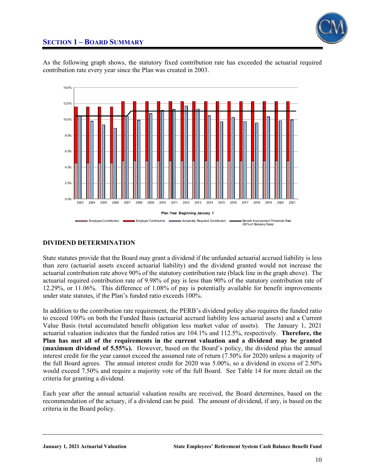

### **SECTION 1 – BOARD SUMMARY**

As the following graph shows, the statutory fixed contribution rate has exceeded the actuarial required contribution rate every year since the Plan was created in 2003.



### **DIVIDEND DETERMINATION**

State statutes provide that the Board may grant a dividend if the unfunded actuarial accrued liability is less than zero (actuarial assets exceed actuarial liability) and the dividend granted would not increase the actuarial contribution rate above 90% of the statutory contribution rate (black line in the graph above). The actuarial required contribution rate of 9.98% of pay is less than 90% of the statutory contribution rate of 12.29%, or 11.06%. This difference of 1.08% of pay is potentially available for benefit improvements under state statutes, if the Plan's funded ratio exceeds 100%.

In addition to the contribution rate requirement, the PERB's dividend policy also requires the funded ratio to exceed 100% on both the Funded Basis (actuarial accrued liability less actuarial assets) and a Current Value Basis (total accumulated benefit obligation less market value of assets). The January 1, 2021 actuarial valuation indicates that the funded ratios are 104.1% and 112.5%, respectively. **Therefore, the Plan has met all of the requirements in the current valuation and a dividend may be granted (maximum dividend of 5.55%).** However, based on the Board's policy, the dividend plus the annual interest credit for the year cannot exceed the assumed rate of return (7.50% for 2020) unless a majority of the full Board agrees. The annual interest credit for 2020 was 5.00%, so a dividend in excess of 2.50% would exceed 7.50% and require a majority vote of the full Board. See Table 14 for more detail on the criteria for granting a dividend.

Each year after the annual actuarial valuation results are received, the Board determines, based on the recommendation of the actuary, if a dividend can be paid. The amount of dividend, if any, is based on the criteria in the Board policy.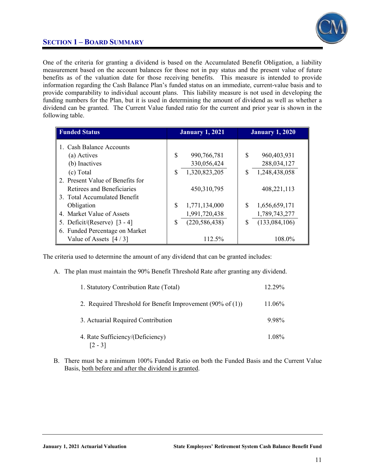

### **SECTION 1 – BOARD SUMMARY**

One of the criteria for granting a dividend is based on the Accumulated Benefit Obligation, a liability measurement based on the account balances for those not in pay status and the present value of future benefits as of the valuation date for those receiving benefits. This measure is intended to provide information regarding the Cash Balance Plan's funded status on an immediate, current-value basis and to provide comparability to individual account plans. This liability measure is not used in developing the funding numbers for the Plan, but it is used in determining the amount of dividend as well as whether a dividend can be granted. The Current Value funded ratio for the current and prior year is shown in the following table.

| <b>Funded Status</b>             | <b>January 1, 2021</b> |                 |    | <b>January 1, 2020</b> |
|----------------------------------|------------------------|-----------------|----|------------------------|
| <b>Cash Balance Accounts</b>     |                        |                 |    |                        |
| (a) Actives                      | \$                     | 990,766,781     | \$ | 960,403,931            |
| (b) Inactives                    |                        | 330,056,424     |    | 288,034,127            |
| (c) Total                        | S                      | 1,320,823,205   | \$ | 1,248,438,058          |
| 2. Present Value of Benefits for |                        |                 |    |                        |
| Retirees and Beneficiaries       |                        | 450, 310, 795   |    | 408,221,113            |
| 3. Total Accumulated Benefit     |                        |                 |    |                        |
| Obligation                       | S                      | 1,771,134,000   | S  | 1,656,659,171          |
| 4. Market Value of Assets        |                        | 1,991,720,438   |    | 1,789,743,277          |
| 5. Deficit/(Reserve) $[3 - 4]$   | \$                     | (220, 586, 438) | S  | (133,084,106)          |
| 6. Funded Percentage on Market   |                        |                 |    |                        |
| Value of Assets $[4/3]$          |                        | 112.5%          |    | 108.0%                 |

The criteria used to determine the amount of any dividend that can be granted includes:

A. The plan must maintain the 90% Benefit Threshold Rate after granting any dividend.

| 1. Statutory Contribution Rate (Total)                                 | 12.29% |
|------------------------------------------------------------------------|--------|
| 2. Required Threshold for Benefit Improvement $(90\% \text{ of } (1))$ | 11.06% |
| 3. Actuarial Required Contribution                                     | 9.98%  |
| 4. Rate Sufficiency/(Deficiency)<br>$ 2 - 3 $                          | 1.08%  |

B. There must be a minimum 100% Funded Ratio on both the Funded Basis and the Current Value Basis, both before and after the dividend is granted.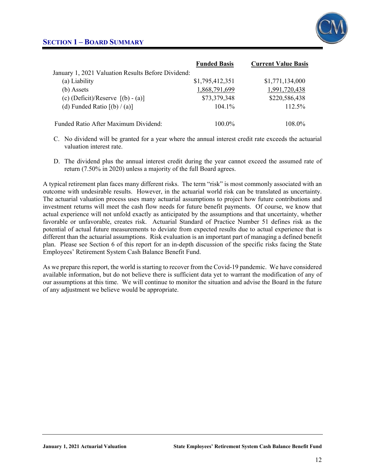

|                                                    | <b>Funded Basis</b> | <b>Current Value Basis</b> |
|----------------------------------------------------|---------------------|----------------------------|
| January 1, 2021 Valuation Results Before Dividend: |                     |                            |
| (a) Liability                                      | \$1,795,412,351     | \$1,771,134,000            |
| (b) Assets                                         | 1,868,791,699       | 1,991,720,438              |
| (c) $(Deficit)/Reserve$ [(b) - (a)]                | \$73,379,348        | \$220,586,438              |
| (d) Funded Ratio $[(b) / (a)]$                     | $104.1\%$           | $112.5\%$                  |
|                                                    |                     |                            |
| Funded Ratio After Maximum Dividend:               | $100.0\%$           | 108.0%                     |

- C. No dividend will be granted for a year where the annual interest credit rate exceeds the actuarial valuation interest rate.
- D. The dividend plus the annual interest credit during the year cannot exceed the assumed rate of return (7.50% in 2020) unless a majority of the full Board agrees.

A typical retirement plan faces many different risks. The term "risk" is most commonly associated with an outcome with undesirable results. However, in the actuarial world risk can be translated as uncertainty. The actuarial valuation process uses many actuarial assumptions to project how future contributions and investment returns will meet the cash flow needs for future benefit payments. Of course, we know that actual experience will not unfold exactly as anticipated by the assumptions and that uncertainty, whether favorable or unfavorable, creates risk. Actuarial Standard of Practice Number 51 defines risk as the potential of actual future measurements to deviate from expected results due to actual experience that is different than the actuarial assumptions. Risk evaluation is an important part of managing a defined benefit plan. Please see Section 6 of this report for an in-depth discussion of the specific risks facing the State Employees' Retirement System Cash Balance Benefit Fund.

As we prepare this report, the world is starting to recover from the Covid-19 pandemic. We have considered available information, but do not believe there is sufficient data yet to warrant the modification of any of our assumptions at this time. We will continue to monitor the situation and advise the Board in the future of any adjustment we believe would be appropriate.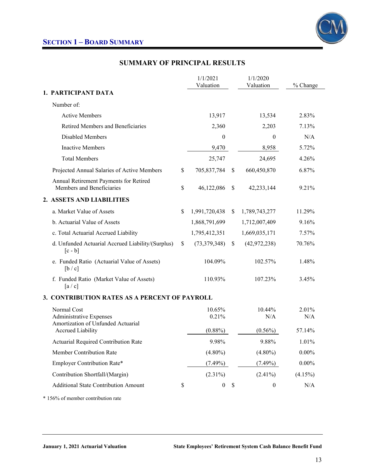

### **SUMMARY OF PRINCIPAL RESULTS**

|                                                                                     | 1/1/2021<br>Valuation  |               | 1/1/2020<br>Valuation | % Change     |
|-------------------------------------------------------------------------------------|------------------------|---------------|-----------------------|--------------|
| 1. PARTICIPANT DATA                                                                 |                        |               |                       |              |
| Number of:                                                                          |                        |               |                       |              |
| <b>Active Members</b>                                                               | 13,917                 |               | 13,534                | 2.83%        |
| Retired Members and Beneficiaries                                                   | 2,360                  |               | 2,203                 | 7.13%        |
| Disabled Members                                                                    | 0                      |               | $\theta$              | N/A          |
| <b>Inactive Members</b>                                                             | 9,470                  |               | 8,958                 | 5.72%        |
| <b>Total Members</b>                                                                | 25,747                 |               | 24,695                | 4.26%        |
| Projected Annual Salaries of Active Members                                         | \$<br>705,837,784      | \$            | 660,450,870           | 6.87%        |
| Annual Retirement Payments for Retired<br>Members and Beneficiaries                 | \$<br>46,122,086       | <sup>\$</sup> | 42,233,144            | 9.21%        |
| 2. ASSETS AND LIABILITIES                                                           |                        |               |                       |              |
| a. Market Value of Assets                                                           | \$<br>1,991,720,438    | \$            | 1,789,743,277         | 11.29%       |
| b. Actuarial Value of Assets                                                        | 1,868,791,699          |               | 1,712,007,409         | 9.16%        |
| c. Total Actuarial Accrued Liability                                                | 1,795,412,351          |               | 1,669,035,171         | 7.57%        |
| d. Unfunded Actuarial Accrued Liability/(Surplus)<br>$[c - b]$                      | \$<br>(73,379,348)     | $\mathbb{S}$  | (42, 972, 238)        | 70.76%       |
| e. Funded Ratio (Actuarial Value of Assets)<br>[b / c]                              | 104.09%                |               | 102.57%               | 1.48%        |
| f. Funded Ratio (Market Value of Assets)<br>[a/c]                                   | 110.93%                |               | 107.23%               | 3.45%        |
| 3. CONTRIBUTION RATES AS A PERCENT OF PAYROLL                                       |                        |               |                       |              |
| Normal Cost<br><b>Administrative Expenses</b><br>Amortization of Unfunded Actuarial | 10.65%<br>0.21%        |               | 10.44%<br>N/A         | 2.01%<br>N/A |
| <b>Accrued Liability</b>                                                            | $(0.88\%)$             |               | $(0.56\%)$            | 57.14%       |
| <b>Actuarial Required Contribution Rate</b>                                         | 9.98%                  |               | 9.88%                 | 1.01%        |
| Member Contribution Rate                                                            | $(4.80\%)$             |               | $(4.80\%)$            | $0.00\%$     |
| Employer Contribution Rate*                                                         | $(7.49\%)$             |               | $(7.49\%)$            | $0.00\%$     |
| Contribution Shortfall/(Margin)                                                     | $(2.31\%)$             |               | $(2.41\%)$            | $(4.15\%)$   |
| <b>Additional State Contribution Amount</b>                                         | \$<br>$\boldsymbol{0}$ | \$            | $\boldsymbol{0}$      | N/A          |

\* 156% of member contribution rate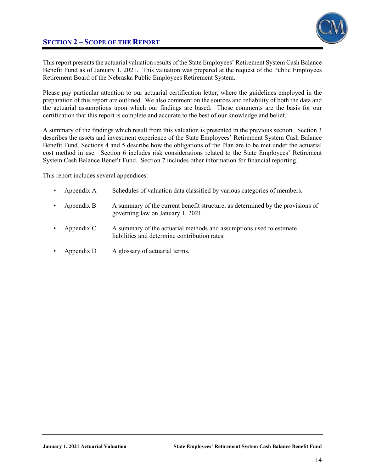



This report presents the actuarial valuation results of the State Employees' Retirement System Cash Balance Benefit Fund as of January 1, 2021. This valuation was prepared at the request of the Public Employees Retirement Board of the Nebraska Public Employees Retirement System.

Please pay particular attention to our actuarial certification letter, where the guidelines employed in the preparation of this report are outlined. We also comment on the sources and reliability of both the data and the actuarial assumptions upon which our findings are based. Those comments are the basis for our certification that this report is complete and accurate to the best of our knowledge and belief.

A summary of the findings which result from this valuation is presented in the previous section. Section 3 describes the assets and investment experience of the State Employees' Retirement System Cash Balance Benefit Fund. Sections 4 and 5 describe how the obligations of the Plan are to be met under the actuarial cost method in use. Section 6 includes risk considerations related to the State Employees' Retirement System Cash Balance Benefit Fund. Section 7 includes other information for financial reporting.

This report includes several appendices:

- Appendix A Schedules of valuation data classified by various categories of members.
- Appendix B A summary of the current benefit structure, as determined by the provisions of governing law on January 1, 2021.
- Appendix C A summary of the actuarial methods and assumptions used to estimate liabilities and determine contribution rates.
- Appendix D A glossary of actuarial terms.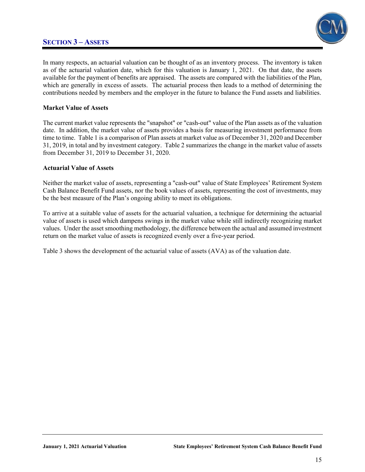### **SECTION 3 – ASSETS**



In many respects, an actuarial valuation can be thought of as an inventory process. The inventory is taken as of the actuarial valuation date, which for this valuation is January 1, 2021. On that date, the assets available for the payment of benefits are appraised. The assets are compared with the liabilities of the Plan, which are generally in excess of assets. The actuarial process then leads to a method of determining the contributions needed by members and the employer in the future to balance the Fund assets and liabilities.

#### **Market Value of Assets**

The current market value represents the "snapshot" or "cash-out" value of the Plan assets as of the valuation date. In addition, the market value of assets provides a basis for measuring investment performance from time to time. Table 1 is a comparison of Plan assets at market value as of December 31, 2020 and December 31, 2019, in total and by investment category. Table 2 summarizes the change in the market value of assets from December 31, 2019 to December 31, 2020.

#### **Actuarial Value of Assets**

Neither the market value of assets, representing a "cash-out" value of State Employees' Retirement System Cash Balance Benefit Fund assets, nor the book values of assets, representing the cost of investments, may be the best measure of the Plan's ongoing ability to meet its obligations.

To arrive at a suitable value of assets for the actuarial valuation, a technique for determining the actuarial value of assets is used which dampens swings in the market value while still indirectly recognizing market values. Under the asset smoothing methodology, the difference between the actual and assumed investment return on the market value of assets is recognized evenly over a five-year period.

Table 3 shows the development of the actuarial value of assets (AVA) as of the valuation date.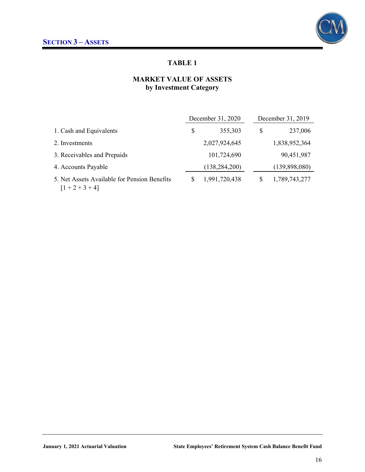

### **MARKET VALUE OF ASSETS by Investment Category**

|                                                                   | December 31, 2020 |    | December 31, 2019 |
|-------------------------------------------------------------------|-------------------|----|-------------------|
| 1. Cash and Equivalents                                           | \$<br>355,303     | \$ | 237,006           |
| 2. Investments                                                    | 2,027,924,645     |    | 1,838,952,364     |
| 3. Receivables and Prepaids                                       | 101,724,690       |    | 90,451,987        |
| 4. Accounts Payable                                               | (138, 284, 200)   |    | (139,898,080)     |
| 5. Net Assets Available for Pension Benefits<br>$[1 + 2 + 3 + 4]$ | 1,991,720,438     |    | 1,789,743,277     |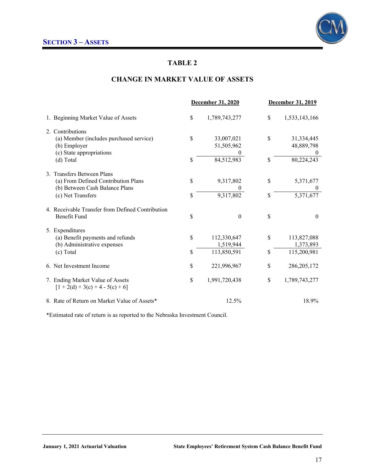

### **CHANGE IN MARKET VALUE OF ASSETS**

|                                                                                                                          |          | December 31, 2020                       | <b>December 31, 2019</b> |                                            |
|--------------------------------------------------------------------------------------------------------------------------|----------|-----------------------------------------|--------------------------|--------------------------------------------|
| 1. Beginning Market Value of Assets                                                                                      | \$       | 1,789,743,277                           | \$                       | 1,533,143,166                              |
| 2. Contributions<br>(a) Member (includes purchased service)<br>(b) Employer<br>(c) State appropriations<br>(d) Total     | \$<br>\$ | 33,007,021<br>51,505,962<br>84,512,983  | \$<br>\$                 | 31,334,445<br>48,889,798<br>80,224,243     |
| 3. Transfers Between Plans<br>(a) From Defined Contribution Plans<br>(b) Between Cash Balance Plans<br>(c) Net Transfers | \$<br>\$ | 9,317,802<br>9,317,802                  | \$<br>\$                 | 5,371,677<br>$\boldsymbol{0}$<br>5,371,677 |
| 4. Receivable Transfer from Defined Contribution<br><b>Benefit Fund</b>                                                  | \$       | $\boldsymbol{0}$                        | \$                       | $\boldsymbol{0}$                           |
| 5. Expenditures<br>(a) Benefit payments and refunds<br>(b) Administrative expenses<br>(c) Total                          | \$<br>\$ | 112,330,647<br>1,519,944<br>113,850,591 | \$<br>\$                 | 113,827,088<br>1,373,893<br>115,200,981    |
| 6. Net Investment Income                                                                                                 | \$       | 221,996,967                             | \$                       | 286, 205, 172                              |
| 7. Ending Market Value of Assets<br>$[1 + 2(d) + 3(c) + 4 - 5(c) + 6]$                                                   | \$       | 1,991,720,438                           | \$                       | 1,789,743,277                              |
| 8. Rate of Return on Market Value of Assets*                                                                             |          | 12.5%                                   |                          | 18.9%                                      |

\*Estimated rate of return is as reported to the Nebraska Investment Council.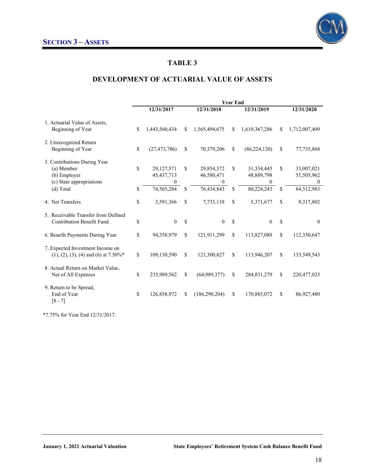

### **DEVELOPMENT OF ACTUARIAL VALUE OF ASSETS**

|                                                                                                     | <b>Year End</b> |                                               |          |                                             |          |                                             |          |                                                        |
|-----------------------------------------------------------------------------------------------------|-----------------|-----------------------------------------------|----------|---------------------------------------------|----------|---------------------------------------------|----------|--------------------------------------------------------|
|                                                                                                     |                 | 12/31/2017                                    |          | 12/31/2018                                  |          | 12/31/2019                                  |          | 12/31/2020                                             |
| 1. Actuarial Value of Assets,<br>Beginning of Year                                                  | \$              | 1,443,560,434                                 | \$       | 1,565,494,675                               | \$       | 1,619,367,286                               | \$       | 1,712,007,409                                          |
| 2. Unrecognized Return<br>Beginning of Year                                                         | \$              | (27, 473, 786)                                | \$       | 70,379,206                                  | \$       | (86, 224, 120)                              | \$       | 77,735,868                                             |
| 3. Contributions During Year<br>(a) Member<br>(b) Employer<br>(c) State appropriations<br>(d) Total | \$<br>\$        | 29,127,571<br>45, 437, 713<br>0<br>74,565,284 | \$<br>\$ | 29,854,372<br>46,580,471<br>0<br>76,434,843 | \$<br>\$ | 31,334,445<br>48,889,798<br>0<br>80,224,243 | \$<br>\$ | 33,007,021<br>51,505,962<br>$\mathbf{0}$<br>84,512,983 |
| 4. Net Transfers                                                                                    | \$              | 3,591,366                                     | \$       | 7,735,118                                   | \$       | 5,371,677                                   | \$       | 9,317,802                                              |
| 5. Receivable Transfer from Defined<br><b>Contribution Benefit Fund</b>                             | \$              | $\mathbf{0}$                                  | \$       | $\theta$                                    | \$       | $\theta$                                    | \$       | $\theta$                                               |
| 6. Benefit Payments During Year                                                                     | \$              | 94,358,979                                    | \$       | 121,911,299                                 | \$       | 113,827,088                                 | \$       | 112,330,647                                            |
| 7. Expected Investment Income on<br>$(1), (2), (3), (4)$ and $(6)$ at 7.50%*                        | \$              | 109,130,590                                   | \$       | 121,300,827                                 | \$       | 113,946,207                                 | \$       | 133,549,543                                            |
| 8. Actual Return on Market Value,<br>Net of All Expenses                                            | \$              | 235,989,562                                   | \$       | (64,989,377)                                | \$       | 284,831,279                                 | \$       | 220,477,023                                            |
| 9. Return to be Spread,<br>End of Year<br>$[8 - 7]$                                                 | \$              | 126,858,972                                   | \$       | (186, 290, 204)                             | \$       | 170,885,072                                 | \$       | 86,927,480                                             |

\*7.75% for Year End 12/31/2017.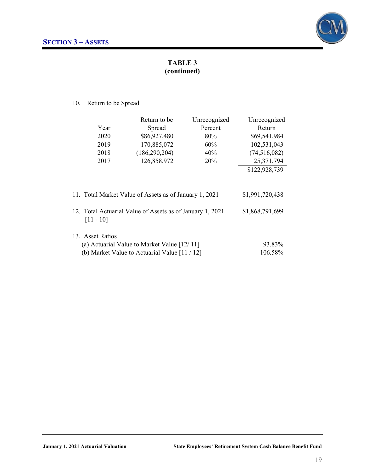

### **TABLE 3 (continued)**

10. Return to be Spread

|                                                                           | Return to be                                  | Unrecognized | Unrecognized   |  |  |  |  |
|---------------------------------------------------------------------------|-----------------------------------------------|--------------|----------------|--|--|--|--|
| Year                                                                      | Spread                                        | Percent      | Return         |  |  |  |  |
| 2020                                                                      | \$86,927,480                                  | 80%          | \$69,541,984   |  |  |  |  |
| 2019                                                                      | 170,885,072                                   | 60%          | 102,531,043    |  |  |  |  |
| 2018                                                                      | (186, 290, 204)                               | 40%          | (74, 516, 082) |  |  |  |  |
| 2017                                                                      | 126,858,972                                   | 20%          | 25,371,794     |  |  |  |  |
|                                                                           |                                               |              | \$122,928,739  |  |  |  |  |
| \$1,991,720,438<br>11. Total Market Value of Assets as of January 1, 2021 |                                               |              |                |  |  |  |  |
| 12. Total Actuarial Value of Assets as of January 1, 2021<br>$[11 - 10]$  | \$1,868,791,699                               |              |                |  |  |  |  |
| 13. Asset Ratios                                                          |                                               |              |                |  |  |  |  |
| (a) Actuarial Value to Market Value $[12/11]$                             | 93.83%                                        |              |                |  |  |  |  |
|                                                                           | (b) Market Value to Actuarial Value $[11/12]$ |              | 106.58%        |  |  |  |  |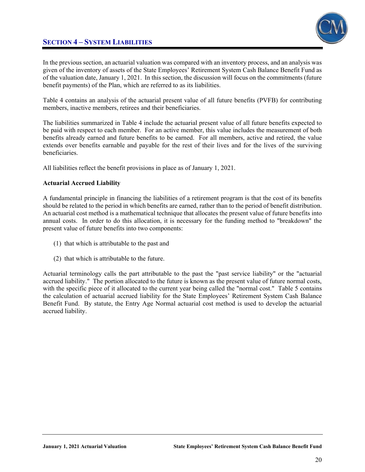### **SECTION 4 – SYSTEM LIABILITIES**



In the previous section, an actuarial valuation was compared with an inventory process, and an analysis was given of the inventory of assets of the State Employees' Retirement System Cash Balance Benefit Fund as of the valuation date, January 1, 2021. In this section, the discussion will focus on the commitments (future benefit payments) of the Plan, which are referred to as its liabilities.

Table 4 contains an analysis of the actuarial present value of all future benefits (PVFB) for contributing members, inactive members, retirees and their beneficiaries.

The liabilities summarized in Table 4 include the actuarial present value of all future benefits expected to be paid with respect to each member. For an active member, this value includes the measurement of both benefits already earned and future benefits to be earned. For all members, active and retired, the value extends over benefits earnable and payable for the rest of their lives and for the lives of the surviving beneficiaries.

All liabilities reflect the benefit provisions in place as of January 1, 2021.

#### **Actuarial Accrued Liability**

A fundamental principle in financing the liabilities of a retirement program is that the cost of its benefits should be related to the period in which benefits are earned, rather than to the period of benefit distribution. An actuarial cost method is a mathematical technique that allocates the present value of future benefits into annual costs. In order to do this allocation, it is necessary for the funding method to "breakdown" the present value of future benefits into two components:

- (1) that which is attributable to the past and
- (2) that which is attributable to the future.

Actuarial terminology calls the part attributable to the past the "past service liability" or the "actuarial accrued liability." The portion allocated to the future is known as the present value of future normal costs, with the specific piece of it allocated to the current year being called the "normal cost." Table 5 contains the calculation of actuarial accrued liability for the State Employees' Retirement System Cash Balance Benefit Fund. By statute, the Entry Age Normal actuarial cost method is used to develop the actuarial accrued liability.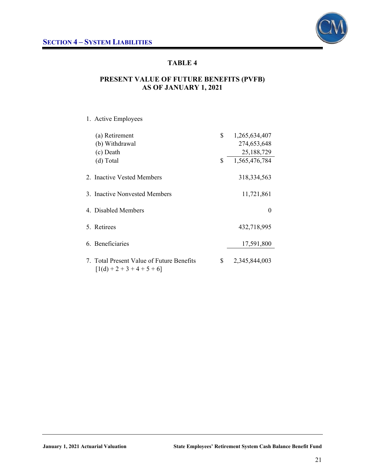

### **PRESENT VALUE OF FUTURE BENEFITS (PVFB) AS OF JANUARY 1, 2021**

### 1. Active Employees

| (a) Retirement<br>(b) Withdrawal<br>(c) Death<br>(d) Total                | \$<br>\$ | 1,265,634,407<br>274,653,648<br>25,188,729<br>1,565,476,784 |
|---------------------------------------------------------------------------|----------|-------------------------------------------------------------|
| 2. Inactive Vested Members                                                |          | 318, 334, 563                                               |
| 3. Inactive Nonvested Members                                             |          | 11,721,861                                                  |
| 4. Disabled Members                                                       |          | $\theta$                                                    |
| 5. Retirees                                                               |          | 432,718,995                                                 |
| 6. Beneficiaries                                                          |          | 17,591,800                                                  |
| 7. Total Present Value of Future Benefits<br>$[1(d) + 2 + 3 + 4 + 5 + 6]$ | \$       | 2,345,844,003                                               |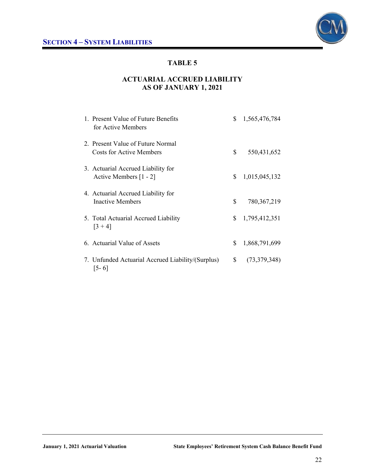

### **ACTUARIAL ACCRUED LIABILITY AS OF JANUARY 1, 2021**

| 1. Present Value of Future Benefits<br>for Active Members      | \$             | 1,565,476,784 |
|----------------------------------------------------------------|----------------|---------------|
| 2. Present Value of Future Normal<br>Costs for Active Members  | \$             | 550,431,652   |
| 3. Actuarial Accrued Liability for<br>Active Members [1 - 2]   | \$             | 1,015,045,132 |
| 4. Actuarial Accrued Liability for<br>Inactive Members         | \$             | 780, 367, 219 |
| 5. Total Actuarial Accrued Liability<br>$[3 + 4]$              | \$             | 1,795,412,351 |
| 6. Actuarial Value of Assets                                   | S              | 1,868,791,699 |
| 7. Unfunded Actuarial Accrued Liability/(Surplus)<br>$ 5 - 6 $ | $\mathbb{S}^-$ | (73,379,348)  |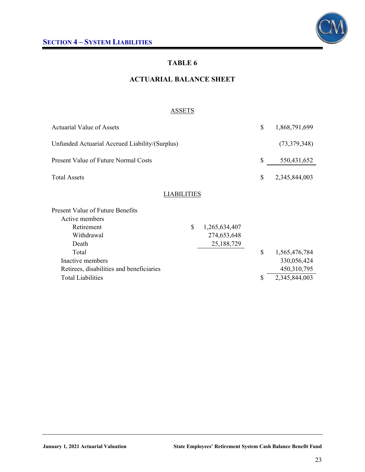### **ACTUARIAL BALANCE SHEET**

#### ASSETS

|              |                                                | \$                 | 1,868,791,699 |
|--------------|------------------------------------------------|--------------------|---------------|
|              |                                                |                    | (73,379,348)  |
|              |                                                | \$                 | 550,431,652   |
|              |                                                | \$                 | 2,345,844,003 |
|              |                                                |                    |               |
|              |                                                |                    |               |
| $\mathbb{S}$ | 1,265,634,407                                  |                    |               |
|              | 274,653,648                                    |                    |               |
|              | 25,188,729                                     |                    |               |
|              |                                                | $\mathbb{S}$       | 1,565,476,784 |
|              |                                                |                    | 330,056,424   |
|              |                                                |                    | 450,310,795   |
|              |                                                | \$                 | 2,345,844,003 |
|              | Unfunded Actuarial Accrued Liability/(Surplus) | <b>LIABILITIES</b> |               |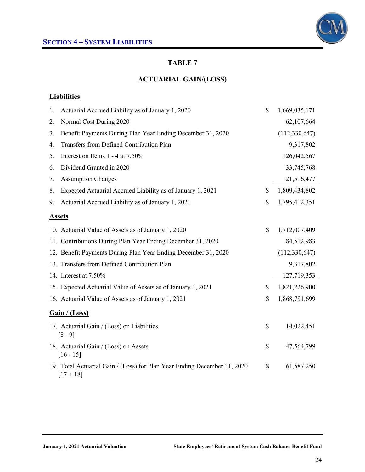

### **ACTUARIAL GAIN/(LOSS)**

### **Liabilities**

| 1.            | Actuarial Accrued Liability as of January 1, 2020                                       | \$            | 1,669,035,171   |
|---------------|-----------------------------------------------------------------------------------------|---------------|-----------------|
| 2.            | Normal Cost During 2020                                                                 |               | 62,107,664      |
| 3.            | Benefit Payments During Plan Year Ending December 31, 2020                              |               | (112, 330, 647) |
| 4.            | Transfers from Defined Contribution Plan                                                |               | 9,317,802       |
| 5.            | Interest on Items 1 - 4 at 7.50%                                                        |               | 126,042,567     |
| 6.            | Dividend Granted in 2020                                                                |               | 33,745,768      |
| 7.            | <b>Assumption Changes</b>                                                               |               | 21,516,477      |
| 8.            | Expected Actuarial Accrued Liability as of January 1, 2021                              | \$            | 1,809,434,802   |
| 9.            | Actuarial Accrued Liability as of January 1, 2021                                       | \$            | 1,795,412,351   |
| <b>Assets</b> |                                                                                         |               |                 |
|               | 10. Actuarial Value of Assets as of January 1, 2020                                     | \$            | 1,712,007,409   |
|               | 11. Contributions During Plan Year Ending December 31, 2020                             |               | 84,512,983      |
|               | 12. Benefit Payments During Plan Year Ending December 31, 2020                          |               | (112, 330, 647) |
|               | 13. Transfers from Defined Contribution Plan                                            |               | 9,317,802       |
|               | 14. Interest at 7.50%                                                                   |               | 127,719,353     |
|               | 15. Expected Actuarial Value of Assets as of January 1, 2021                            | \$            | 1,821,226,900   |
|               | 16. Actuarial Value of Assets as of January 1, 2021                                     | $\mathcal{S}$ | 1,868,791,699   |
|               | Gain / (Loss)                                                                           |               |                 |
|               | 17. Actuarial Gain / (Loss) on Liabilities<br>$[8 - 9]$                                 | \$            | 14,022,451      |
|               | 18. Actuarial Gain / (Loss) on Assets<br>$[16 - 15]$                                    | $\mathbb{S}$  | 47,564,799      |
|               | 19. Total Actuarial Gain / (Loss) for Plan Year Ending December 31, 2020<br>$[17 + 18]$ | \$            | 61,587,250      |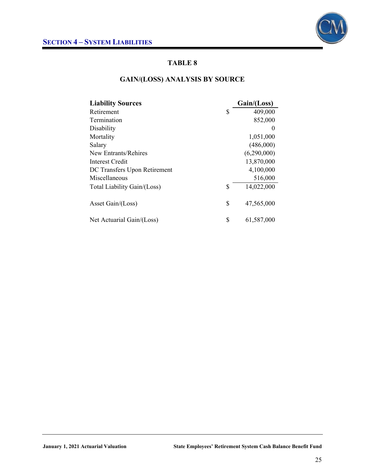

### **GAIN/(LOSS) ANALYSIS BY SOURCE**

| <b>Liability Sources</b>     | Gain/(Loss)      |
|------------------------------|------------------|
| Retirement                   | \$<br>409,000    |
| Termination                  | 852,000          |
| Disability                   | $\theta$         |
| Mortality                    | 1,051,000        |
| Salary                       | (486,000)        |
| New Entrants/Rehires         | (6,290,000)      |
| Interest Credit              | 13,870,000       |
| DC Transfers Upon Retirement | 4,100,000        |
| Miscellaneous                | 516,000          |
| Total Liability Gain/(Loss)  | \$<br>14,022,000 |
| Asset Gain/(Loss)            | \$<br>47,565,000 |
| Net Actuarial Gain/(Loss)    | \$<br>61,587,000 |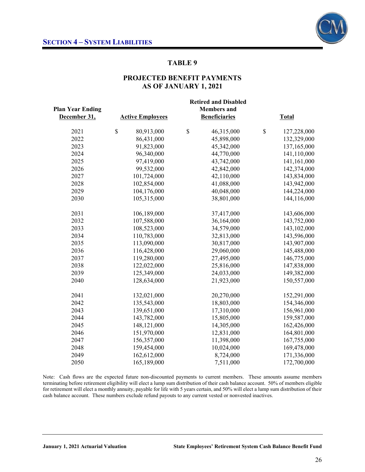

### **PROJECTED BENEFIT PAYMENTS AS OF JANUARY 1, 2021**

| <b>Plan Year Ending</b><br>December 31, | <b>Retired and Disabled</b><br><b>Members</b> and<br><b>Active Employees</b><br><b>Beneficiaries</b><br><b>Total</b> |             |    |            |    |             |  |
|-----------------------------------------|----------------------------------------------------------------------------------------------------------------------|-------------|----|------------|----|-------------|--|
| 2021                                    | \$                                                                                                                   | 80,913,000  | \$ | 46,315,000 | \$ | 127,228,000 |  |
| 2022                                    |                                                                                                                      | 86,431,000  |    | 45,898,000 |    | 132,329,000 |  |
| 2023                                    |                                                                                                                      | 91,823,000  |    | 45,342,000 |    | 137,165,000 |  |
| 2024                                    |                                                                                                                      | 96,340,000  |    | 44,770,000 |    | 141,110,000 |  |
| 2025                                    |                                                                                                                      | 97,419,000  |    | 43,742,000 |    | 141,161,000 |  |
| 2026                                    |                                                                                                                      | 99,532,000  |    | 42,842,000 |    | 142,374,000 |  |
| 2027                                    |                                                                                                                      | 101,724,000 |    | 42,110,000 |    | 143,834,000 |  |
| 2028                                    |                                                                                                                      | 102,854,000 |    | 41,088,000 |    | 143,942,000 |  |
| 2029                                    |                                                                                                                      | 104,176,000 |    | 40,048,000 |    | 144,224,000 |  |
| 2030                                    |                                                                                                                      | 105,315,000 |    | 38,801,000 |    | 144,116,000 |  |
| 2031                                    |                                                                                                                      | 106,189,000 |    | 37,417,000 |    | 143,606,000 |  |
| 2032                                    |                                                                                                                      | 107,588,000 |    | 36,164,000 |    | 143,752,000 |  |
| 2033                                    |                                                                                                                      | 108,523,000 |    | 34,579,000 |    | 143,102,000 |  |
| 2034                                    |                                                                                                                      | 110,783,000 |    | 32,813,000 |    | 143,596,000 |  |
| 2035                                    |                                                                                                                      | 113,090,000 |    | 30,817,000 |    | 143,907,000 |  |
| 2036                                    |                                                                                                                      | 116,428,000 |    | 29,060,000 |    | 145,488,000 |  |
| 2037                                    |                                                                                                                      | 119,280,000 |    | 27,495,000 |    | 146,775,000 |  |
| 2038                                    |                                                                                                                      | 122,022,000 |    | 25,816,000 |    | 147,838,000 |  |
| 2039                                    |                                                                                                                      | 125,349,000 |    | 24,033,000 |    | 149,382,000 |  |
| 2040                                    |                                                                                                                      | 128,634,000 |    | 21,923,000 |    | 150,557,000 |  |
| 2041                                    |                                                                                                                      | 132,021,000 |    | 20,270,000 |    | 152,291,000 |  |
| 2042                                    |                                                                                                                      | 135,543,000 |    | 18,803,000 |    | 154,346,000 |  |
| 2043                                    |                                                                                                                      | 139,651,000 |    | 17,310,000 |    | 156,961,000 |  |
| 2044                                    |                                                                                                                      | 143,782,000 |    | 15,805,000 |    | 159,587,000 |  |
| 2045                                    |                                                                                                                      | 148,121,000 |    | 14,305,000 |    | 162,426,000 |  |
| 2046                                    |                                                                                                                      | 151,970,000 |    | 12,831,000 |    | 164,801,000 |  |
| 2047                                    |                                                                                                                      | 156,357,000 |    | 11,398,000 |    | 167,755,000 |  |
| 2048                                    |                                                                                                                      | 159,454,000 |    | 10,024,000 |    | 169,478,000 |  |
| 2049                                    |                                                                                                                      | 162,612,000 |    | 8,724,000  |    | 171,336,000 |  |
| 2050                                    |                                                                                                                      | 165,189,000 |    | 7,511,000  |    | 172,700,000 |  |

Note: Cash flows are the expected future non-discounted payments to current members. These amounts assume members terminating before retirement eligibility will elect a lump sum distribution of their cash balance account. 50% of members eligible for retirement will elect a monthly annuity, payable for life with 5 years certain, and 50% will elect a lump sum distribution of their cash balance account. These numbers exclude refund payouts to any current vested or nonvested inactives.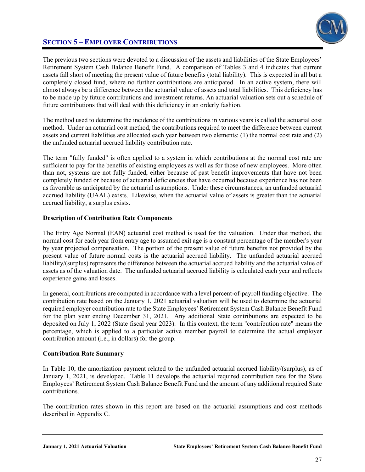

### **SECTION 5 – EMPLOYER CONTRIBUTIONS**

The previous two sections were devoted to a discussion of the assets and liabilities of the State Employees' Retirement System Cash Balance Benefit Fund. A comparison of Tables 3 and 4 indicates that current assets fall short of meeting the present value of future benefits (total liability). This is expected in all but a completely closed fund, where no further contributions are anticipated. In an active system, there will almost always be a difference between the actuarial value of assets and total liabilities. This deficiency has to be made up by future contributions and investment returns. An actuarial valuation sets out a schedule of future contributions that will deal with this deficiency in an orderly fashion.

The method used to determine the incidence of the contributions in various years is called the actuarial cost method. Under an actuarial cost method, the contributions required to meet the difference between current assets and current liabilities are allocated each year between two elements: (1) the normal cost rate and (2) the unfunded actuarial accrued liability contribution rate.

The term "fully funded" is often applied to a system in which contributions at the normal cost rate are sufficient to pay for the benefits of existing employees as well as for those of new employees. More often than not, systems are not fully funded, either because of past benefit improvements that have not been completely funded or because of actuarial deficiencies that have occurred because experience has not been as favorable as anticipated by the actuarial assumptions. Under these circumstances, an unfunded actuarial accrued liability (UAAL) exists. Likewise, when the actuarial value of assets is greater than the actuarial accrued liability, a surplus exists.

#### **Description of Contribution Rate Components**

The Entry Age Normal (EAN) actuarial cost method is used for the valuation. Under that method, the normal cost for each year from entry age to assumed exit age is a constant percentage of the member's year by year projected compensation. The portion of the present value of future benefits not provided by the present value of future normal costs is the actuarial accrued liability. The unfunded actuarial accrued liability/(surplus) represents the difference between the actuarial accrued liability and the actuarial value of assets as of the valuation date. The unfunded actuarial accrued liability is calculated each year and reflects experience gains and losses.

In general, contributions are computed in accordance with a level percent-of-payroll funding objective. The contribution rate based on the January 1, 2021 actuarial valuation will be used to determine the actuarial required employer contribution rate to the State Employees' Retirement System Cash Balance Benefit Fund for the plan year ending December 31, 2021. Any additional State contributions are expected to be deposited on July 1, 2022 (State fiscal year 2023). In this context, the term "contribution rate" means the percentage, which is applied to a particular active member payroll to determine the actual employer contribution amount (i.e., in dollars) for the group.

#### **Contribution Rate Summary**

In Table 10, the amortization payment related to the unfunded actuarial accrued liability/(surplus), as of January 1, 2021, is developed. Table 11 develops the actuarial required contribution rate for the State Employees' Retirement System Cash Balance Benefit Fund and the amount of any additional required State contributions.

The contribution rates shown in this report are based on the actuarial assumptions and cost methods described in Appendix C.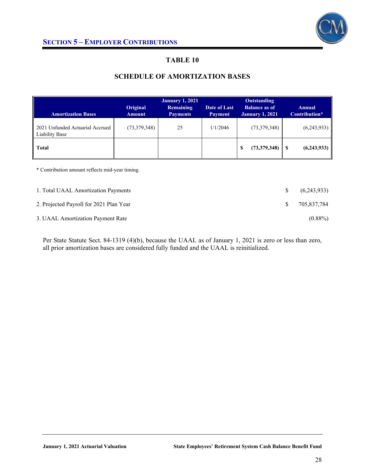

### **SCHEDULE OF AMORTIZATION BASES**

| <b>Amortization Bases</b>                                | Original<br><b>Amount</b> | <b>January 1, 2021</b><br><b>Remaining</b><br><b>Payments</b> | Date of Last<br><b>Payment</b> | Outstanding<br><b>Balance as of</b><br><b>January 1, 2021</b> | <b>Annual</b><br>Contribution* |
|----------------------------------------------------------|---------------------------|---------------------------------------------------------------|--------------------------------|---------------------------------------------------------------|--------------------------------|
| 2021 Unfunded Actuarial Accrued<br><b>Liability Base</b> | (73,379,348)              | 25                                                            | 1/1/2046                       | (73,379,348)                                                  | (6,243,933)                    |
| <b>Total</b>                                             |                           |                                                               |                                | (73,379,348)<br>S                                             | (6,243,933)<br>S               |
|                                                          |                           |                                                               |                                |                                                               |                                |

\* Contribution amount reflects mid-year timing.

| 1. Total UAAL Amortization Payments     | -SS           | (6,243,933) |
|-----------------------------------------|---------------|-------------|
| 2. Projected Payroll for 2021 Plan Year | $\mathcal{S}$ | 705.837.784 |
| 3. UAAL Amortization Payment Rate       |               | $(0.88\%)$  |

Per State Statute Sect. 84-1319 (4)(b), because the UAAL as of January 1, 2021 is zero or less than zero, all prior amortization bases are considered fully funded and the UAAL is reinitialized.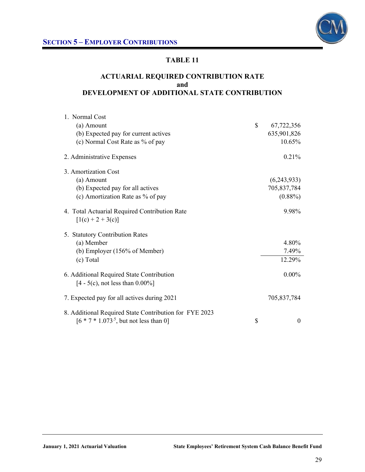

### **ACTUARIAL REQUIRED CONTRIBUTION RATE and DEVELOPMENT OF ADDITIONAL STATE CONTRIBUTION**

| 1. Normal Cost                                                                                       |                  |
|------------------------------------------------------------------------------------------------------|------------------|
| (a) Amount                                                                                           | \$<br>67,722,356 |
| (b) Expected pay for current actives                                                                 | 635,901,826      |
| (c) Normal Cost Rate as % of pay                                                                     | 10.65%           |
| 2. Administrative Expenses                                                                           | 0.21%            |
| 3. Amortization Cost                                                                                 |                  |
| (a) Amount                                                                                           | (6,243,933)      |
| (b) Expected pay for all actives                                                                     | 705,837,784      |
| (c) Amortization Rate as % of pay                                                                    | $(0.88\%)$       |
| 4. Total Actuarial Required Contribution Rate<br>$[1(c) + 2 + 3(c)]$                                 | 9.98%            |
| 5. Statutory Contribution Rates                                                                      |                  |
| (a) Member                                                                                           | 4.80%            |
| (b) Employer (156% of Member)                                                                        | 7.49%            |
| (c) Total                                                                                            | 12.29%           |
| 6. Additional Required State Contribution<br>$[4 - 5(c)$ , not less than $0.00\%$ ]                  | $0.00\%$         |
| 7. Expected pay for all actives during 2021                                                          | 705,837,784      |
| 8. Additional Required State Contribution for FYE 2023<br>$[6 * 7 * 1.073^{5},$ but not less than 0] | \$<br>$\theta$   |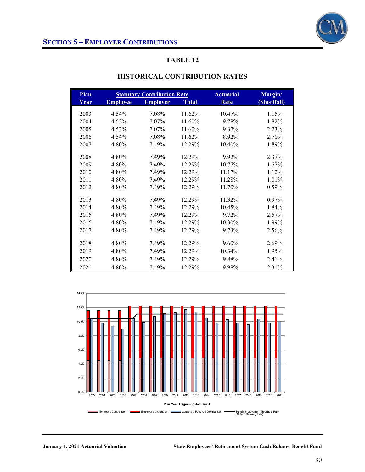

| Plan |                 | <b>Statutory Contribution Rate</b> |              | <b>Actuarial</b> | Margin/     |
|------|-----------------|------------------------------------|--------------|------------------|-------------|
| Year | <b>Employee</b> | <b>Employer</b>                    | <b>Total</b> | <b>Rate</b>      | (Shortfall) |
| 2003 | 4.54%           | 7.08%                              | 11.62%       | 10.47%           | 1.15%       |
| 2004 | 4.53%           | 7.07%                              | 11.60%       | 9.78%            | 1.82%       |
| 2005 | 4.53%           | 7.07%                              | 11.60%       | 9.37%            | 2.23%       |
| 2006 | 4.54%           | 7.08%                              | 11.62%       | 8.92%            | 2.70%       |
| 2007 | 4.80%           | 7.49%                              | 12.29%       | 10.40%           | 1.89%       |
| 2008 | 4.80%           | 7.49%                              | 12.29%       | 9.92%            | 2.37%       |
| 2009 | 4.80%           | 7.49%                              | 12.29%       | 10.77%           | 1.52%       |
| 2010 | 4.80%           | 7.49%                              | 12.29%       | 11.17%           | 1.12%       |
| 2011 | 4.80%           | 7.49%                              | 12.29%       | 11.28%           | 1.01%       |
| 2012 | 4.80%           | 7.49%                              | 12.29%       | 11.70%           | 0.59%       |
| 2013 | 4.80%           | 7.49%                              | 12.29%       | 11.32%           | 0.97%       |
| 2014 | 4.80%           | 7.49%                              | 12.29%       | 10.45%           | 1.84%       |
| 2015 | 4.80%           | 7.49%                              | 12.29%       | 9.72%            | $2.57\%$    |
| 2016 | 4.80%           | 7.49%                              | 12.29%       | 10.30%           | 1.99%       |
| 2017 | 4.80%           | 7.49%                              | 12.29%       | 9.73%            | 2.56%       |
| 2018 | 4.80%           | 7.49%                              | 12.29%       | 9.60%            | 2.69%       |
| 2019 | 4.80%           | 7.49%                              | 12.29%       | 10.34%           | 1.95%       |
| 2020 | 4.80%           | 7.49%                              | 12.29%       | 9.88%            | 2.41%       |
| 2021 | 4.80%           | 7.49%                              | 12.29%       | 9.98%            | 2.31%       |

### **HISTORICAL CONTRIBUTION RATES**

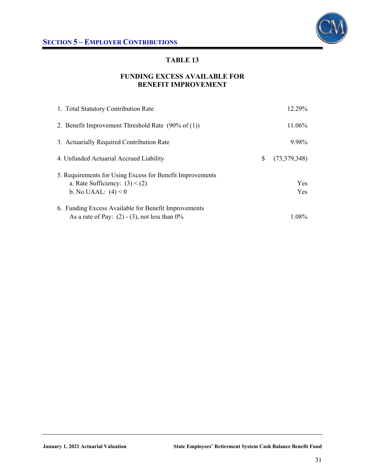

### **FUNDING EXCESS AVAILABLE FOR BENEFIT IMPROVEMENT**

| 1. Total Statutory Contribution Rate                                                                                   | 12.29%             |
|------------------------------------------------------------------------------------------------------------------------|--------------------|
| 2. Benefit Improvement Threshold Rate $(90\% \text{ of } (1))$                                                         | 11.06%             |
| 3. Actuarially Required Contribution Rate                                                                              | 9.98%              |
| 4. Unfunded Actuarial Accrued Liability                                                                                | S.<br>(73,379,348) |
| 5. Requirements for Using Excess for Benefit Improvements<br>a. Rate Sufficiency: $(3) < (2)$<br>b. No UAAL: $(4) < 0$ | Yes<br><b>Yes</b>  |
| 6. Funding Excess Available for Benefit Improvements<br>As a rate of Pay: $(2) - (3)$ , not less than 0%               | 1.08%              |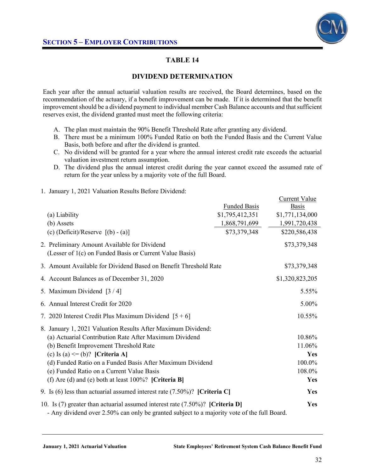

 $C$ urrent  $V_0$ lue

### **TABLE 14**

### **DIVIDEND DETERMINATION**

Each year after the annual actuarial valuation results are received, the Board determines, based on the recommendation of the actuary, if a benefit improvement can be made. If it is determined that the benefit improvement should be a dividend payment to individual member Cash Balance accounts and that sufficient reserves exist, the dividend granted must meet the following criteria:

- A. The plan must maintain the 90% Benefit Threshold Rate after granting any dividend.
- B. There must be a minimum 100% Funded Ratio on both the Funded Basis and the Current Value Basis, both before and after the dividend is granted.
- C. No dividend will be granted for a year where the annual interest credit rate exceeds the actuarial valuation investment return assumption.
- D. The dividend plus the annual interest credit during the year cannot exceed the assumed rate of return for the year unless by a majority vote of the full Board.
- 1. January 1, 2021 Valuation Results Before Dividend:

|                                                                                                                                                                                  |                     | Current value   |
|----------------------------------------------------------------------------------------------------------------------------------------------------------------------------------|---------------------|-----------------|
|                                                                                                                                                                                  | <b>Funded Basis</b> | <b>Basis</b>    |
| (a) Liability                                                                                                                                                                    | \$1,795,412,351     | \$1,771,134,000 |
| (b) Assets                                                                                                                                                                       | 1,868,791,699       | 1,991,720,438   |
| (c) $(Deficit)/Reserve$ [(b) - (a)]                                                                                                                                              | \$73,379,348        | \$220,586,438   |
| 2. Preliminary Amount Available for Dividend                                                                                                                                     |                     | \$73,379,348    |
| (Lesser of 1(c) on Funded Basis or Current Value Basis)                                                                                                                          |                     |                 |
| 3. Amount Available for Dividend Based on Benefit Threshold Rate                                                                                                                 |                     | \$73,379,348    |
| 4. Account Balances as of December 31, 2020                                                                                                                                      |                     | \$1,320,823,205 |
| 5. Maximum Dividend [3/4]                                                                                                                                                        |                     | 5.55%           |
| 6. Annual Interest Credit for 2020                                                                                                                                               |                     | 5.00%           |
| 7. 2020 Interest Credit Plus Maximum Dividend $[5 + 6]$                                                                                                                          |                     | 10.55%          |
| 8. January 1, 2021 Valuation Results After Maximum Dividend:                                                                                                                     |                     |                 |
| (a) Actuarial Contribution Rate After Maximum Dividend                                                                                                                           |                     | 10.86%          |
| (b) Benefit Improvement Threshold Rate                                                                                                                                           |                     | 11.06%          |
| (c) Is (a) $\leq$ (b)? [Criteria A]                                                                                                                                              |                     | <b>Yes</b>      |
| (d) Funded Ratio on a Funded Basis After Maximum Dividend                                                                                                                        |                     | 100.0%          |
| (e) Funded Ratio on a Current Value Basis                                                                                                                                        |                     | 108.0%          |
| (f) Are (d) and (e) both at least $100\%$ ? [Criteria B]                                                                                                                         |                     | Yes             |
| 9. Is (6) less than actuarial assumed interest rate $(7.50\%)$ ? [Criteria C]                                                                                                    |                     | <b>Yes</b>      |
| 10. Is (7) greater than actuarial assumed interest rate $(7.50\%)$ ? [Criteria D]<br>- Any dividend over 2.50% can only be granted subject to a majority vote of the full Board. |                     | Yes             |

- Any dividend over 2.50% can only be granted subject to a majority vote of the full Board.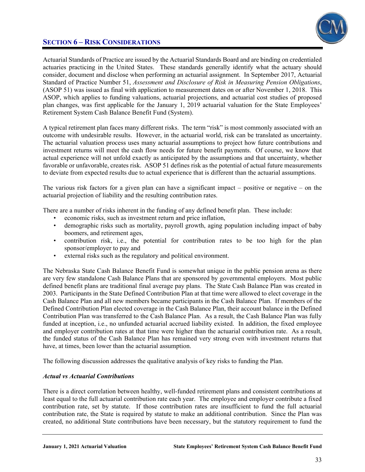

Actuarial Standards of Practice are issued by the Actuarial Standards Board and are binding on credentialed actuaries practicing in the United States. These standards generally identify what the actuary should consider, document and disclose when performing an actuarial assignment. In September 2017, Actuarial Standard of Practice Number 51, *Assessment and Disclosure of Risk in Measuring Pension Obligations*, (ASOP 51) was issued as final with application to measurement dates on or after November 1, 2018. This ASOP, which applies to funding valuations, actuarial projections, and actuarial cost studies of proposed plan changes, was first applicable for the January 1, 2019 actuarial valuation for the State Employees' Retirement System Cash Balance Benefit Fund (System).

A typical retirement plan faces many different risks. The term "risk" is most commonly associated with an outcome with undesirable results. However, in the actuarial world, risk can be translated as uncertainty. The actuarial valuation process uses many actuarial assumptions to project how future contributions and investment returns will meet the cash flow needs for future benefit payments. Of course, we know that actual experience will not unfold exactly as anticipated by the assumptions and that uncertainty, whether favorable or unfavorable, creates risk. ASOP 51 defines risk as the potential of actual future measurements to deviate from expected results due to actual experience that is different than the actuarial assumptions.

The various risk factors for a given plan can have a significant impact – positive or negative – on the actuarial projection of liability and the resulting contribution rates.

There are a number of risks inherent in the funding of any defined benefit plan. These include:

- economic risks, such as investment return and price inflation,
- demographic risks such as mortality, payroll growth, aging population including impact of baby boomers, and retirement ages,
- contribution risk, i.e., the potential for contribution rates to be too high for the plan sponsor/employer to pay and
- external risks such as the regulatory and political environment.

The Nebraska State Cash Balance Benefit Fund is somewhat unique in the public pension arena as there are very few standalone Cash Balance Plans that are sponsored by governmental employers. Most public defined benefit plans are traditional final average pay plans. The State Cash Balance Plan was created in 2003. Participants in the State Defined Contribution Plan at that time were allowed to elect coverage in the Cash Balance Plan and all new members became participants in the Cash Balance Plan. If members of the Defined Contribution Plan elected coverage in the Cash Balance Plan, their account balance in the Defined Contribution Plan was transferred to the Cash Balance Plan. As a result, the Cash Balance Plan was fully funded at inception, i.e., no unfunded actuarial accrued liability existed. In addition, the fixed employee and employer contribution rates at that time were higher than the actuarial contribution rate. As a result, the funded status of the Cash Balance Plan has remained very strong even with investment returns that have, at times, been lower than the actuarial assumption.

The following discussion addresses the qualitative analysis of key risks to funding the Plan.

#### *Actual vs Actuarial Contributions*

There is a direct correlation between healthy, well-funded retirement plans and consistent contributions at least equal to the full actuarial contribution rate each year. The employee and employer contribute a fixed contribution rate, set by statute. If those contribution rates are insufficient to fund the full actuarial contribution rate, the State is required by statute to make an additional contribution. Since the Plan was created, no additional State contributions have been necessary, but the statutory requirement to fund the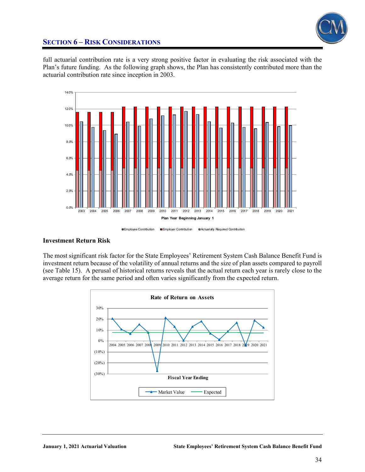

full actuarial contribution rate is a very strong positive factor in evaluating the risk associated with the Plan's future funding. As the following graph shows, the Plan has consistently contributed more than the actuarial contribution rate since inception in 2003.



#### **Investment Return Risk**

The most significant risk factor for the State Employees' Retirement System Cash Balance Benefit Fund is investment return because of the volatility of annual returns and the size of plan assets compared to payroll (see Table 15). A perusal of historical returns reveals that the actual return each year is rarely close to the average return for the same period and often varies significantly from the expected return.

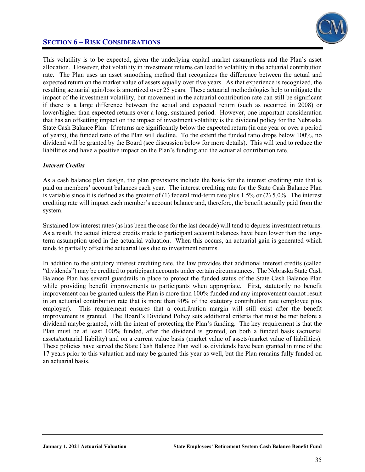This volatility is to be expected, given the underlying capital market assumptions and the Plan's asset allocation. However, that volatility in investment returns can lead to volatility in the actuarial contribution rate. The Plan uses an asset smoothing method that recognizes the difference between the actual and expected return on the market value of assets equally over five years. As that experience is recognized, the resulting actuarial gain/loss is amortized over 25 years. These actuarial methodologies help to mitigate the impact of the investment volatility, but movement in the actuarial contribution rate can still be significant if there is a large difference between the actual and expected return (such as occurred in 2008) or lower/higher than expected returns over a long, sustained period. However, one important consideration that has an offsetting impact on the impact of investment volatility is the dividend policy for the Nebraska State Cash Balance Plan. If returns are significantly below the expected return (in one year or over a period of years), the funded ratio of the Plan will decline. To the extent the funded ratio drops below 100%, no dividend will be granted by the Board (see discussion below for more details). This will tend to reduce the liabilities and have a positive impact on the Plan's funding and the actuarial contribution rate.

### *Interest Credits*

As a cash balance plan design, the plan provisions include the basis for the interest crediting rate that is paid on members' account balances each year. The interest crediting rate for the State Cash Balance Plan is variable since it is defined as the greater of (1) federal mid-term rate plus 1.5% or (2) 5.0%. The interest crediting rate will impact each member's account balance and, therefore, the benefit actually paid from the system.

Sustained low interest rates (as has been the case for the last decade) will tend to depress investment returns. As a result, the actual interest credits made to participant account balances have been lower than the longterm assumption used in the actuarial valuation. When this occurs, an actuarial gain is generated which tends to partially offset the actuarial loss due to investment returns.

In addition to the statutory interest crediting rate, the law provides that additional interest credits (called "dividends") may be credited to participant accounts under certain circumstances. The Nebraska State Cash Balance Plan has several guardrails in place to protect the funded status of the State Cash Balance Plan while providing benefit improvements to participants when appropriate. First, statutorily no benefit improvement can be granted unless the Plan is more than 100% funded and any improvement cannot result in an actuarial contribution rate that is more than 90% of the statutory contribution rate (employee plus employer). This requirement ensures that a contribution margin will still exist after the benefit improvement is granted. The Board's Dividend Policy sets additional criteria that must be met before a dividend maybe granted, with the intent of protecting the Plan's funding. The key requirement is that the Plan must be at least 100% funded, after the dividend is granted, on both a funded basis (actuarial assets/actuarial liability) and on a current value basis (market value of assets/market value of liabilities). These policies have served the State Cash Balance Plan well as dividends have been granted in nine of the 17 years prior to this valuation and may be granted this year as well, but the Plan remains fully funded on an actuarial basis.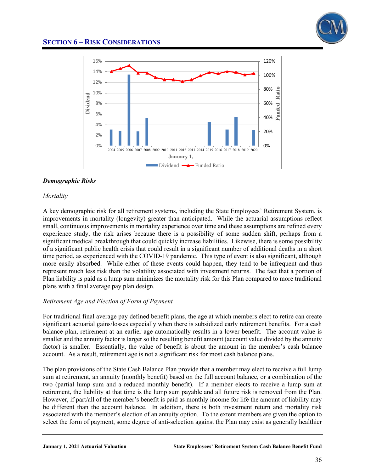



#### *Demographic Risks*

#### *Mortality*

A key demographic risk for all retirement systems, including the State Employees' Retirement System, is improvements in mortality (longevity) greater than anticipated. While the actuarial assumptions reflect small, continuous improvements in mortality experience over time and these assumptions are refined every experience study, the risk arises because there is a possibility of some sudden shift, perhaps from a significant medical breakthrough that could quickly increase liabilities. Likewise, there is some possibility of a significant public health crisis that could result in a significant number of additional deaths in a short time period, as experienced with the COVID-19 pandemic. This type of event is also significant, although more easily absorbed. While either of these events could happen, they tend to be infrequent and thus represent much less risk than the volatility associated with investment returns. The fact that a portion of Plan liability is paid as a lump sum minimizes the mortality risk for this Plan compared to more traditional plans with a final average pay plan design.

#### *Retirement Age and Election of Form of Payment*

For traditional final average pay defined benefit plans, the age at which members elect to retire can create significant actuarial gains/losses especially when there is subsidized early retirement benefits. For a cash balance plan, retirement at an earlier age automatically results in a lower benefit. The account value is smaller and the annuity factor is larger so the resulting benefit amount (account value divided by the annuity factor) is smaller. Essentially, the value of benefit is about the amount in the member's cash balance account. As a result, retirement age is not a significant risk for most cash balance plans.

The plan provisions of the State Cash Balance Plan provide that a member may elect to receive a full lump sum at retirement, an annuity (monthly benefit) based on the full account balance, or a combination of the two (partial lump sum and a reduced monthly benefit). If a member elects to receive a lump sum at retirement, the liability at that time is the lump sum payable and all future risk is removed from the Plan. However, if part/all of the member's benefit is paid as monthly income for life the amount of liability may be different than the account balance. In addition, there is both investment return and mortality risk associated with the member's election of an annuity option. To the extent members are given the option to select the form of payment, some degree of anti-selection against the Plan may exist as generally healthier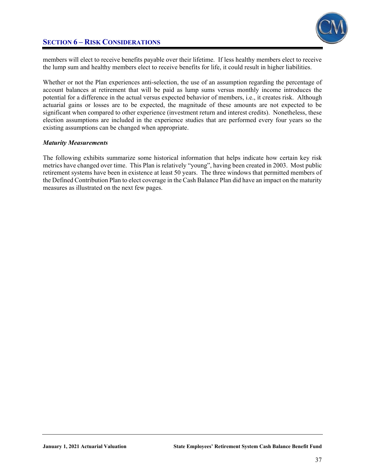

members will elect to receive benefits payable over their lifetime. If less healthy members elect to receive the lump sum and healthy members elect to receive benefits for life, it could result in higher liabilities.

Whether or not the Plan experiences anti-selection, the use of an assumption regarding the percentage of account balances at retirement that will be paid as lump sums versus monthly income introduces the potential for a difference in the actual versus expected behavior of members, i.e., it creates risk. Although actuarial gains or losses are to be expected, the magnitude of these amounts are not expected to be significant when compared to other experience (investment return and interest credits). Nonetheless, these election assumptions are included in the experience studies that are performed every four years so the existing assumptions can be changed when appropriate.

#### *Maturity Measurements*

The following exhibits summarize some historical information that helps indicate how certain key risk metrics have changed over time. This Plan is relatively "young", having been created in 2003. Most public retirement systems have been in existence at least 50 years. The three windows that permitted members of the Defined Contribution Plan to elect coverage in the Cash Balance Plan did have an impact on the maturity measures as illustrated on the next few pages.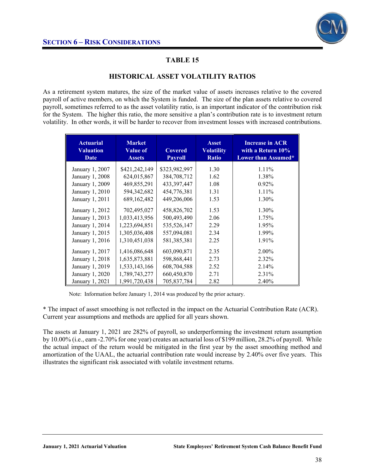

### **HISTORICAL ASSET VOLATILITY RATIOS**

As a retirement system matures, the size of the market value of assets increases relative to the covered payroll of active members, on which the System is funded. The size of the plan assets relative to covered payroll, sometimes referred to as the asset volatility ratio, is an important indicator of the contribution risk for the System. The higher this ratio, the more sensitive a plan's contribution rate is to investment return volatility. In other words, it will be harder to recover from investment losses with increased contributions.

| <b>Actuarial</b><br><b>Valuation</b><br><b>Date</b> | <b>Market</b><br><b>Value of</b><br><b>Assets</b> | <b>Covered</b><br><b>Payroll</b> | <b>Asset</b><br><b>Volatility</b><br><b>Ratio</b> | <b>Increase in ACR</b><br>with a Return 10%<br>Lower than Assumed* |
|-----------------------------------------------------|---------------------------------------------------|----------------------------------|---------------------------------------------------|--------------------------------------------------------------------|
| January 1, 2007                                     | \$421,242,149                                     | \$323,982,997                    | 1.30                                              | $1.11\%$                                                           |
| January 1, 2008                                     | 624,015,867                                       | 384,708,712                      | 1.62                                              | 1.38%                                                              |
| January 1, 2009                                     | 469,855,291                                       | 433,397,447                      | 1.08                                              | $0.92\%$                                                           |
| January 1, 2010                                     | 594,342,682                                       | 454,776,381                      | 1.31                                              | $1.11\%$                                                           |
| January 1, 2011                                     | 689, 162, 482                                     | 449,206,006                      | 1.53                                              | 1.30%                                                              |
| January 1, 2012                                     | 702,495,027                                       | 458,826,702                      | 1.53                                              | 1.30%                                                              |
| January 1, 2013                                     | 1,033,413,956                                     | 500,493,490                      | 2.06                                              | 1.75%                                                              |
| January 1, 2014                                     | 1,223,694,851                                     | 535,526,147                      | 2.29                                              | 1.95%                                                              |
| January 1, 2015                                     | 1,305,036,408                                     | 557,094,081                      | 2.34                                              | 1.99%                                                              |
| January 1, 2016                                     | 1,310,451,038                                     | 581, 385, 381                    | 2.25                                              | 1.91%                                                              |
| January 1, 2017                                     | 1,416,086,648                                     | 603,090,871                      | 2.35                                              | $2.00\%$                                                           |
| January 1, 2018                                     | 1,635,873,881                                     | 598,868,441                      | 2.73                                              | 2.32%                                                              |
| January 1, 2019                                     | 1,533,143,166                                     | 608,704,588                      | 2.52                                              | 2.14%                                                              |
| January 1, 2020                                     | 1,789,743,277                                     | 660,450,870                      | 2.71                                              | 2.31%                                                              |
| January 1, 2021                                     | 1,991,720,438                                     | 705,837,784                      | 2.82                                              | 2.40%                                                              |
|                                                     |                                                   |                                  |                                                   |                                                                    |

Note: Information before January 1, 2014 was produced by the prior actuary.

\* The impact of asset smoothing is not reflected in the impact on the Actuarial Contribution Rate (ACR). Current year assumptions and methods are applied for all years shown.

The assets at January 1, 2021 are 282% of payroll, so underperforming the investment return assumption by 10.00% (i.e., earn -2.70% for one year) creates an actuarial loss of \$199 million, 28.2% of payroll. While the actual impact of the return would be mitigated in the first year by the asset smoothing method and amortization of the UAAL, the actuarial contribution rate would increase by 2.40% over five years. This illustrates the significant risk associated with volatile investment returns.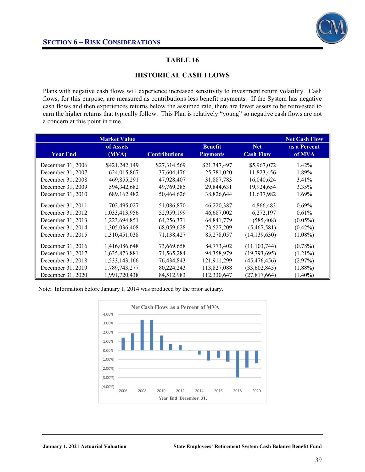

### **HISTORICAL CASH FLOWS**

Plans with negative cash flows will experience increased sensitivity to investment return volatility. Cash flows, for this purpose, are measured as contributions less benefit payments. If the System has negative cash flows and then experiences returns below the assumed rate, there are fewer assets to be reinvested to earn the higher returns that typically follow. This Plan is relatively "young" so negative cash flows are not a concern at this point in time.

|                   | <b>Market Value</b><br>of Assets |                      | <b>Benefit</b>  | <b>Net</b>       | <b>Net Cash Flow</b><br>as a Percent |
|-------------------|----------------------------------|----------------------|-----------------|------------------|--------------------------------------|
| <b>Year End</b>   | (MVA)                            | <b>Contributions</b> | <b>Payments</b> | <b>Cash Flow</b> | of MVA                               |
| December 31, 2006 | \$421,242,149                    | \$27,314,569         | \$21,347,497    | \$5,967,072      | $1.42\%$                             |
| December 31, 2007 | 624,015,867                      | 37,604,476           | 25,781,020      | 11,823,456       | 1.89%                                |
| December 31, 2008 | 469,855,291                      | 47,928,407           | 31,887,783      | 16,040,624       | $3.41\%$                             |
| December 31, 2009 | 594,342,682                      | 49,769,285           | 29,844,631      | 19,924,654       | 3.35%                                |
| December 31, 2010 | 689, 162, 482                    | 50,464,626           | 38,826,644      | 11,637,982       | 1.69%                                |
| December 31, 2011 | 702,495,027                      | 51,086,870           | 46,220,387      | 4,866,483        | $0.69\%$                             |
| December 31, 2012 | 1,033,413,956                    | 52,959,199           | 46,687,002      | 6,272,197        | 0.61%                                |
| December 31, 2013 | 1,223,694,851                    | 64,256,371           | 64,841,779      | (585, 408)       | $(0.05\%)$                           |
| December 31, 2014 | 1,305,036,408                    | 68,059,628           | 73,527,209      | (5,467,581)      | $(0.42\%)$                           |
| December 31, 2015 | 1,310,451,038                    | 71,138,427           | 85,278,057      | (14, 139, 630)   | $(1.08\%)$                           |
| December 31, 2016 | 1,416,086,648                    | 73,669,658           | 84,773,402      | (11, 103, 744)   | $(0.78\%)$                           |
| December 31, 2017 | 1,635,873,881                    | 74,565,284           | 94,358,979      | (19,793,695)     | $(1.21\%)$                           |
| December 31, 2018 | 1,533,143,166                    | 76,434,843           | 121,911,299     | (45, 476, 456)   | (2.97%)                              |
| December 31, 2019 | 1,789,743,277                    | 80,224,243           | 113,827,088     | (33,602,845)     | $(1.88\%)$                           |
| December 31, 2020 | 1,991,720,438                    | 84,512,983           | 112,330,647     | (27, 817, 664)   | $(1.40\%)$                           |

Note: Information before January 1, 2014 was produced by the prior actuary.

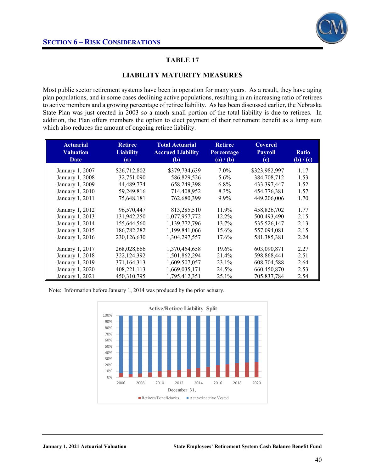

### **LIABILITY MATURITY MEASURES**

Most public sector retirement systems have been in operation for many years. As a result, they have aging plan populations, and in some cases declining active populations, resulting in an increasing ratio of retirees to active members and a growing percentage of retiree liability. As has been discussed earlier, the Nebraska State Plan was just created in 2003 so a much small portion of the total liability is due to retirees. In addition, the Plan offers members the option to elect payment of their retirement benefit as a lump sum which also reduces the amount of ongoing retiree liability.

| <b>Actuarial</b> | <b>Retiree</b>   | <b>Total Actuarial</b>   | <b>Retiree</b> | <b>Covered</b> |              |
|------------------|------------------|--------------------------|----------------|----------------|--------------|
| <b>Valuation</b> | <b>Liability</b> | <b>Accrued Liability</b> | Percentage     | <b>Payroll</b> | <b>Ratio</b> |
| Date             | (a)              | (b)                      | (a) / (b)      | (c)            | (b) / (c)    |
| January 1, 2007  | \$26,712,802     | \$379,734,639            | $7.0\%$        | \$323,982,997  | 1.17         |
| January 1, 2008  | 32,751,090       | 586,829,526              | $5.6\%$        | 384,708,712    | 1.53         |
| January 1, 2009  | 44,489,774       | 658,249,398              | $6.8\%$        | 433.397.447    | 1.52         |
| January 1, 2010  | 59,249,816       | 714,408,952              | 8.3%           | 454,776,381    | 1.57         |
| January 1, 2011  | 75,648,181       | 762,680,399              | 9.9%           | 449,206,006    | 1.70         |
| January 1, 2012  | 96,570,447       | 813,285,510              | 11.9%          | 458,826,702    | 1.77         |
| January 1, 2013  | 131,942,250      | 1,077,957,772            | 12.2%          | 500,493,490    | 2.15         |
| January 1, 2014  | 155,644,560      | 1,139,772,796            | 13.7%          | 535,526,147    | 2.13         |
| January 1, 2015  | 186,782,282      | 1,199,841,066            | 15.6%          | 557,094,081    | 2.15         |
| January 1, 2016  | 230,126,630      | 1,304,297,557            | 17.6%          | 581, 385, 381  | 2.24         |
| January 1, 2017  | 268,028,666      | 1,370,454,658            | 19.6%          | 603,090,871    | 2.27         |
| January 1, 2018  | 322,124,392      | 1,501,862,294            | 21.4%          | 598,868,441    | 2.51         |
| January 1, 2019  | 371,164,313      | 1,609,507,057            | 23.1%          | 608,704,588    | 2.64         |
| January 1, 2020  | 408,221,113      | 1,669,035,171            | 24.5%          | 660,450,870    | 2.53         |
| January 1, 2021  | 450,310,795      | 1,795,412,351            | 25.1%          | 705,837,784    | 2.54         |

Note: Information before January 1, 2014 was produced by the prior actuary.

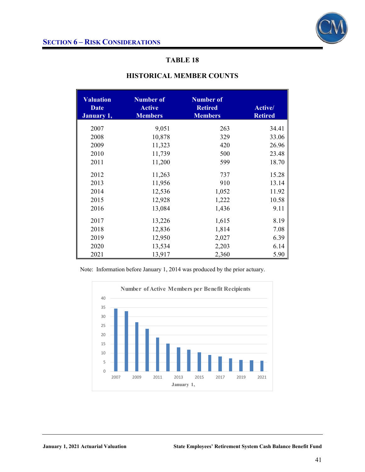| <b>Valuation</b><br><b>Date</b><br>January 1, | <b>Number of</b><br><b>Active</b><br><b>Members</b> | <b>Number of</b><br><b>Retired</b><br><b>Members</b> | Active/<br><b>Retired</b> |  |
|-----------------------------------------------|-----------------------------------------------------|------------------------------------------------------|---------------------------|--|
| 2007                                          | 9,051                                               | 263                                                  | 34.41                     |  |
| 2008                                          | 10,878                                              | 329                                                  | 33.06                     |  |
| 2009                                          | 11,323                                              | 420                                                  | 26.96                     |  |
| 2010                                          | 11,739                                              | 500                                                  | 23.48                     |  |
| 2011                                          | 11,200                                              | 599                                                  | 18.70                     |  |
| 2012                                          | 11,263                                              | 737                                                  | 15.28                     |  |
| 2013                                          | 11,956                                              | 910                                                  | 13.14                     |  |
| 2014                                          | 12,536                                              | 1,052                                                | 11.92                     |  |
| 2015                                          | 12,928                                              | 1,222                                                | 10.58                     |  |
| 2016                                          | 13,084                                              | 1,436                                                | 9.11                      |  |
| 2017                                          | 13,226                                              | 1,615                                                | 8.19                      |  |
| 2018                                          | 12,836                                              | 1,814                                                | 7.08                      |  |
| 2019                                          | 12,950                                              | 2,027                                                | 6.39                      |  |
| 2020                                          | 13,534                                              | 2,203                                                | 6.14                      |  |
| 2021                                          | 13,917                                              | 2,360                                                | 5.90                      |  |

### **HISTORICAL MEMBER COUNTS**

Note: Information before January 1, 2014 was produced by the prior actuary.

Ξ

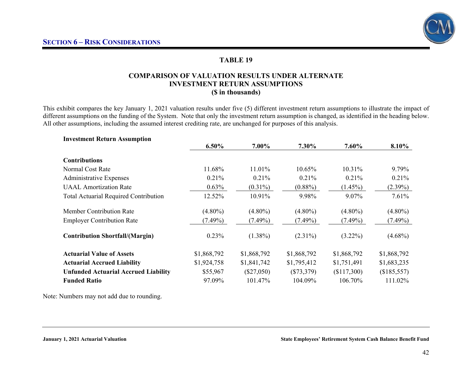### **COMPARISON OF VALUATION RESULTS UNDER ALTERNATE INVESTMENT RETURN ASSUMPTIONS (\$ in thousands)**

This exhibit compares the key January 1, 2021 valuation results under five (5) different investment return assumptions to illustrate the impact of different assumptions on the funding of the System. Note that only the investment return assumption is changed, as identified in the heading below. All other assumptions, including the assumed interest crediting rate, are unchanged for purposes of this analysis.

| <b>Investment Return Assumption</b>          |             |              |              |             |             |
|----------------------------------------------|-------------|--------------|--------------|-------------|-------------|
|                                              | $6.50\%$    | 7.00%        | 7.30%        | $7.60\%$    | 8.10%       |
| <b>Contributions</b>                         |             |              |              |             |             |
| Normal Cost Rate                             | 11.68%      | 11.01%       | 10.65%       | 10.31%      | 9.79%       |
| Administrative Expenses                      | 0.21%       | $0.21\%$     | 0.21%        | 0.21%       | 0.21%       |
| <b>UAAL</b> Amortization Rate                | 0.63%       | $(0.31\%)$   | $(0.88\%)$   | $(1.45\%)$  | $(2.39\%)$  |
| <b>Total Actuarial Required Contribution</b> | 12.52%      | 10.91%       | 9.98%        | 9.07%       | 7.61%       |
| <b>Member Contribution Rate</b>              | $(4.80\%)$  | $(4.80\%)$   | $(4.80\%)$   | $(4.80\%)$  | $(4.80\%)$  |
| <b>Employer Contribution Rate</b>            | $(7.49\%)$  | $(7.49\%)$   | $(7.49\%)$   | $(7.49\%)$  | $(7.49\%)$  |
| <b>Contribution Shortfall/(Margin)</b>       | 0.23%       | $(1.38\%)$   | $(2.31\%)$   | $(3.22\%)$  | $(4.68\%)$  |
| <b>Actuarial Value of Assets</b>             | \$1,868,792 | \$1,868,792  | \$1,868,792  | \$1,868,792 | \$1,868,792 |
| <b>Actuarial Accrued Liability</b>           | \$1,924,758 | \$1,841,742  | \$1,795,412  | \$1,751,491 | \$1,683,235 |
| <b>Unfunded Actuarial Accrued Liability</b>  | \$55,967    | $(\$27,050)$ | $(\$73,379)$ | (\$117,300) | (\$185,557) |
| <b>Funded Ratio</b>                          | 97.09%      | 101.47%      | 104.09%      | 106.70%     | 111.02%     |

Note: Numbers may not add due to rounding.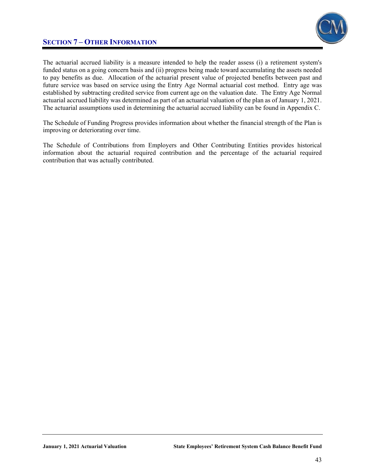

### **SECTION 7 – OTHER INFORMATION**

The actuarial accrued liability is a measure intended to help the reader assess (i) a retirement system's funded status on a going concern basis and (ii) progress being made toward accumulating the assets needed to pay benefits as due. Allocation of the actuarial present value of projected benefits between past and future service was based on service using the Entry Age Normal actuarial cost method. Entry age was established by subtracting credited service from current age on the valuation date. The Entry Age Normal actuarial accrued liability was determined as part of an actuarial valuation of the plan as of January 1, 2021. The actuarial assumptions used in determining the actuarial accrued liability can be found in Appendix C.

The Schedule of Funding Progress provides information about whether the financial strength of the Plan is improving or deteriorating over time.

The Schedule of Contributions from Employers and Other Contributing Entities provides historical information about the actuarial required contribution and the percentage of the actuarial required contribution that was actually contributed.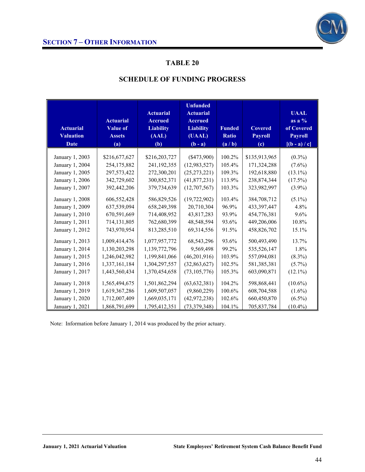

| <b>Actuarial</b><br><b>Valuation</b> | <b>Actuarial</b><br>Value of<br><b>Assets</b> | <b>Actuarial</b><br><b>Accrued</b><br><b>Liability</b><br>(AAL) | <b>Unfunded</b><br><b>Actuarial</b><br><b>Accrued</b><br><b>Liability</b><br>(UAAL) | <b>Funded</b><br>Ratio | <b>Covered</b><br><b>Payroll</b> | <b>UAAL</b><br>as a $\%$<br>of Covered<br><b>Payroll</b> |
|--------------------------------------|-----------------------------------------------|-----------------------------------------------------------------|-------------------------------------------------------------------------------------|------------------------|----------------------------------|----------------------------------------------------------|
| <b>Date</b>                          | (a)                                           | (b)                                                             | $(b - a)$                                                                           | (a/b)                  | $\left( \mathbf{c} \right)$      | $[(b - a) / c]$                                          |
|                                      |                                               |                                                                 |                                                                                     |                        |                                  |                                                          |
| January 1, 2003                      | \$216,677,627                                 | \$216,203,727                                                   | $(\$473,900)$                                                                       | 100.2%                 | \$135,913,965                    | $(0.3\%)$                                                |
| January 1, 2004                      | 254,175,882                                   | 241,192,355                                                     | (12, 983, 527)                                                                      | 105.4%                 | 171,324,288                      | $(7.6\%)$                                                |
| January 1, 2005                      | 297,573,422                                   | 272,300,201                                                     | (25, 273, 221)                                                                      | 109.3%                 | 192,618,880                      | $(13.1\%)$                                               |
| January 1, 2006                      | 342,729,602                                   | 300,852,371                                                     | (41, 877, 231)                                                                      | 113.9%                 | 238,874,344                      | $(17.5\%)$                                               |
| January 1, 2007                      | 392,442,206                                   | 379,734,639                                                     | (12,707,567)                                                                        | 103.3%                 | 323,982,997                      | $(3.9\%)$                                                |
| January 1, 2008                      | 606,552,428                                   | 586,829,526                                                     | (19, 722, 902)                                                                      | 103.4%                 | 384,708,712                      | $(5.1\%)$                                                |
| January 1, 2009                      | 637,539,094                                   | 658,249,398                                                     | 20,710,304                                                                          | 96.9%                  | 433, 397, 447                    | 4.8%                                                     |
| January 1, 2010                      | 670,591,669                                   | 714,408,952                                                     | 43,817,283                                                                          | 93.9%                  | 454,776,381                      | 9.6%                                                     |
| January 1, 2011                      | 714,131,805                                   | 762,680,399                                                     | 48,548,594                                                                          | 93.6%                  | 449,206,006                      | 10.8%                                                    |
| January 1, 2012                      | 743,970,954                                   | 813,285,510                                                     | 69,314,556                                                                          | 91.5%                  | 458,826,702                      | 15.1%                                                    |
| January 1, 2013                      | 1,009,414,476                                 | 1,077,957,772                                                   | 68,543,296                                                                          | 93.6%                  | 500,493,490                      | 13.7%                                                    |
| January 1, 2014                      | 1,130,203,298                                 | 1,139,772,796                                                   | 9,569,498                                                                           | 99.2%                  | 535,526,147                      | 1.8%                                                     |
| January 1, 2015                      | 1,246,042,982                                 | 1,199,841,066                                                   | (46,201,916)                                                                        | 103.9%                 | 557,094,081                      | $(8.3\%)$                                                |
| January 1, 2016                      | 1,337,161,184                                 | 1,304,297,557                                                   | (32, 863, 627)                                                                      | 102.5%                 | 581,385,381                      | $(5.7\%)$                                                |
| January 1, 2017                      | 1,443,560,434                                 | 1,370,454,658                                                   | (73, 105, 776)                                                                      | 105.3%                 | 603,090,871                      | $(12.1\%)$                                               |
| January 1, 2018                      | 1,565,494,675                                 | 1,501,862,294                                                   | (63, 632, 381)                                                                      | 104.2%                 | 598,868,441                      | $(10.6\%)$                                               |
| January 1, 2019                      | 1,619,367,286                                 | 1,609,507,057                                                   | (9,860,229)                                                                         | 100.6%                 | 608,704,588                      | $(1.6\%)$                                                |
| January 1, 2020                      | 1,712,007,409                                 | 1,669,035,171                                                   | (42, 972, 238)                                                                      | 102.6%                 | 660,450,870                      | $(6.5\%)$                                                |
| January 1, 2021                      | 1,868,791,699                                 | 1,795,412,351                                                   | (73, 379, 348)                                                                      | 104.1%                 | 705,837,784                      | $(10.4\%)$                                               |

Note: Information before January 1, 2014 was produced by the prior actuary.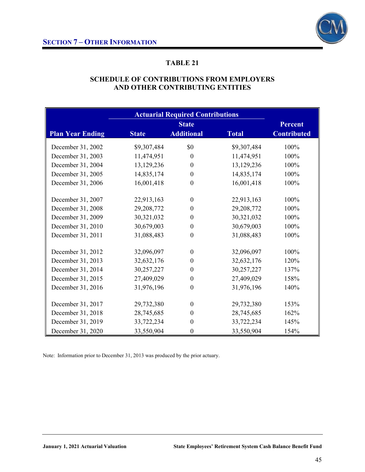

### **SCHEDULE OF CONTRIBUTIONS FROM EMPLOYERS AND OTHER CONTRIBUTING ENTITIES**

|                         |              | <b>State</b>      |              | <b>Percent</b>     |
|-------------------------|--------------|-------------------|--------------|--------------------|
| <b>Plan Year Ending</b> | <b>State</b> | <b>Additional</b> | <b>Total</b> | <b>Contributed</b> |
| December 31, 2002       | \$9,307,484  | \$0               | \$9,307,484  | 100%               |
| December 31, 2003       | 11,474,951   | $\mathbf{0}$      | 11,474,951   | 100%               |
| December 31, 2004       | 13,129,236   | $\mathbf{0}$      | 13,129,236   | 100%               |
| December 31, 2005       | 14,835,174   | $\boldsymbol{0}$  | 14,835,174   | 100%               |
| December 31, 2006       | 16,001,418   | $\theta$          | 16,001,418   | 100%               |
| December 31, 2007       | 22,913,163   | $\theta$          | 22,913,163   | 100%               |
| December 31, 2008       | 29,208,772   | $\theta$          | 29,208,772   | 100%               |
| December 31, 2009       | 30,321,032   | $\boldsymbol{0}$  | 30,321,032   | 100%               |
| December 31, 2010       | 30,679,003   | $\boldsymbol{0}$  | 30,679,003   | 100%               |
| December 31, 2011       | 31,088,483   | $\boldsymbol{0}$  | 31,088,483   | 100%               |
| December 31, 2012       | 32,096,097   | $\theta$          | 32,096,097   | 100%               |
| December 31, 2013       | 32,632,176   | $\boldsymbol{0}$  | 32,632,176   | 120%               |
| December 31, 2014       | 30,257,227   | $\boldsymbol{0}$  | 30,257,227   | 137%               |
| December 31, 2015       | 27,409,029   | $\boldsymbol{0}$  | 27,409,029   | 158%               |
| December 31, 2016       | 31,976,196   | $\theta$          | 31,976,196   | 140%               |
| December 31, 2017       | 29,732,380   | $\theta$          | 29,732,380   | 153%               |
| December 31, 2018       | 28,745,685   | $\theta$          | 28,745,685   | 162%               |
| December 31, 2019       | 33,722,234   | $\boldsymbol{0}$  | 33,722,234   | 145%               |
| December 31, 2020       | 33,550,904   | $\boldsymbol{0}$  | 33,550,904   | 154%               |

Note: Information prior to December 31, 2013 was produced by the prior actuary.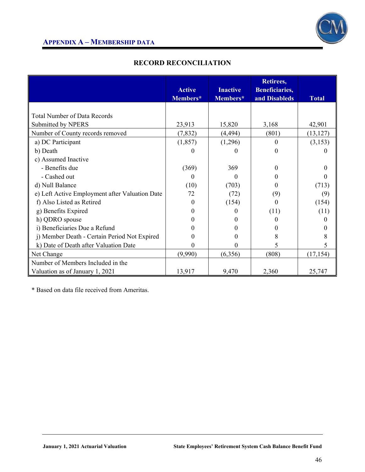

### **RECORD RECONCILIATION**

|                                                | <b>Active</b> | <b>Inactive</b> | Retirees,<br>Beneficiaries, |              |
|------------------------------------------------|---------------|-----------------|-----------------------------|--------------|
|                                                | Members*      | Members*        | and Disableds               | <b>Total</b> |
|                                                |               |                 |                             |              |
| <b>Total Number of Data Records</b>            |               |                 |                             |              |
| Submitted by NPERS                             | 23,913        | 15,820          | 3,168                       | 42,901       |
| Number of County records removed               | (7, 832)      | (4, 494)        | (801)                       | (13, 127)    |
| a) DC Participant                              | (1, 857)      | (1,296)         | 0                           | (3,153)      |
| b) Death                                       |               | $\Omega$        | 0                           |              |
| c) Assumed Inactive                            |               |                 |                             |              |
| - Benefits due                                 | (369)         | 369             | $^{(1)}$                    |              |
| - Cashed out                                   | $\theta$      | $\Omega$        | 0                           |              |
| d) Null Balance                                | (10)          | (703)           | $^{(1)}$                    | (713)        |
| e) Left Active Employment after Valuation Date | 72            | (72)            | (9)                         | (9)          |
| f) Also Listed as Retired                      | $\Omega$      | (154)           | 0                           | (154)        |
| g) Benefits Expired                            | 0             |                 | (11)                        | (11)         |
| h) QDRO spouse                                 | 0             | 0               | 0                           |              |
| i) Beneficiaries Due a Refund                  |               |                 | $_{0}$                      |              |
| j) Member Death - Certain Period Not Expired   |               | 0               | 8                           |              |
| k) Date of Death after Valuation Date          | $\mathbf{0}$  | 0               | 5                           | 5            |
| Net Change                                     | (9,990)       | (6,356)         | (808)                       | (17, 154)    |
| Number of Members Included in the              |               |                 |                             |              |
| Valuation as of January 1, 2021                | 13,917        | 9,470           | 2,360                       | 25,747       |

\* Based on data file received from Ameritas.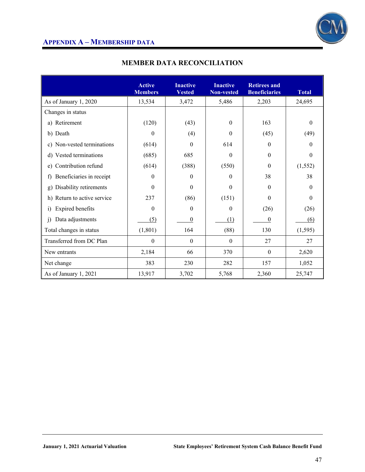

|                                    | <b>Active</b><br><b>Members</b> | <b>Inactive</b><br><b>Vested</b> | <b>Inactive</b><br><b>Non-vested</b> | <b>Retirees and</b><br><b>Beneficiaries</b> | <b>Total</b> |
|------------------------------------|---------------------------------|----------------------------------|--------------------------------------|---------------------------------------------|--------------|
| As of January 1, 2020              | 13,534                          | 3,472                            | 5,486                                | 2,203                                       | 24,695       |
| Changes in status                  |                                 |                                  |                                      |                                             |              |
| a) Retirement                      | (120)                           | (43)                             | 0                                    | 163                                         | $\Omega$     |
| b) Death                           | 0                               | (4)                              | 0                                    | (45)                                        | (49)         |
| c) Non-vested terminations         | (614)                           | $\Omega$                         | 614                                  | $\Omega$                                    | $\Omega$     |
| Vested terminations<br>d)          | (685)                           | 685                              | $\Omega$                             | $\theta$                                    | $\theta$     |
| Contribution refund<br>e)          | (614)                           | (388)                            | (550)                                | $\Omega$                                    | (1, 552)     |
| Beneficiaries in receipt<br>f)     | 0                               | 0                                | $\theta$                             | 38                                          | 38           |
| Disability retirements<br>g)       | $\Omega$                        | $\Omega$                         | 0                                    | $\theta$                                    | $\theta$     |
| Return to active service<br>h)     | 237                             | (86)                             | (151)                                | $\theta$                                    | $\theta$     |
| Expired benefits<br>$\mathbf{i}$   | 0                               | 0                                | $\theta$                             | (26)                                        | (26)         |
| Data adjustments<br>$\overline{1}$ | (5)                             | 0                                | (1)                                  | $\theta$                                    | (6)          |
| Total changes in status            | (1, 801)                        | 164                              | (88)                                 | 130                                         | (1, 595)     |
| Transferred from DC Plan           | $\theta$                        | $\theta$                         | $\Omega$                             | 27                                          | 27           |
| New entrants                       | 2,184                           | 66                               | 370                                  | $\theta$                                    | 2,620        |
| Net change                         | 383                             | 230                              | 282                                  | 157                                         | 1,052        |
| As of January 1, 2021              | 13,917                          | 3,702                            | 5,768                                | 2,360                                       | 25,747       |

### **MEMBER DATA RECONCILIATION**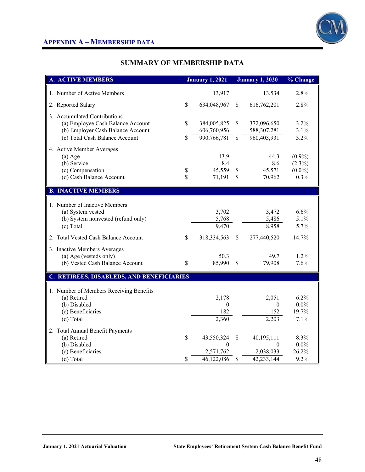

### **SUMMARY OF MEMBERSHIP DATA**

| <b>A. ACTIVE MEMBERS</b>                               | <b>January 1, 2021</b> |              | <b>January 1, 2020</b> | % Change         |
|--------------------------------------------------------|------------------------|--------------|------------------------|------------------|
| 1. Number of Active Members                            | 13,917                 |              | 13,534                 | 2.8%             |
| 2. Reported Salary                                     | \$<br>634,048,967      | S            | 616,762,201            | 2.8%             |
| 3. Accumulated Contributions                           |                        |              |                        |                  |
| (a) Employee Cash Balance Account                      | \$<br>384,005,825      | \$           | 372,096,650            | 3.2%             |
| (b) Employer Cash Balance Account                      | 606,760,956            |              | 588, 307, 281          | 3.1%             |
| (c) Total Cash Balance Account                         | \$<br>990,766,781      | $\mathbb{S}$ | 960,403,931            | 3.2%             |
| 4. Active Member Averages                              |                        |              |                        |                  |
| $(a)$ Age                                              | 43.9                   |              | 44.3                   | $(0.9\%)$        |
| (b) Service                                            | 8.4                    |              | 8.6                    | $(2.3\%)$        |
| (c) Compensation                                       | \$<br>45,559           | \$           | 45,571                 | $(0.0\%)$        |
| (d) Cash Balance Account                               | \$<br>71,191           | \$           | 70,962                 | 0.3%             |
| <b>B. INACTIVE MEMBERS</b>                             |                        |              |                        |                  |
| 1. Number of Inactive Members                          |                        |              |                        |                  |
| (a) System vested                                      | 3,702                  |              | 3,472                  | 6.6%             |
| (b) System nonvested (refund only)                     | 5,768                  |              | 5,486                  | 5.1%             |
| (c) Total                                              | 9,470                  |              | 8,958                  | 5.7%             |
| 2. Total Vested Cash Balance Account                   | \$<br>318,334,563      | \$           | 277,440,520            | 14.7%            |
| 3. Inactive Members Averages                           |                        |              |                        |                  |
| (a) Age (vesteds only)                                 | 50.3                   |              | 49.7                   | 1.2%             |
| (b) Vested Cash Balance Account                        | \$<br>85,990           | \$           | 79,908                 | 7.6%             |
| C. RETIREES, DISABLEDS, AND BENEFICIARIES              |                        |              |                        |                  |
|                                                        |                        |              |                        |                  |
| 1. Number of Members Receiving Benefits<br>(a) Retired | 2,178                  |              | 2,051                  | 6.2%             |
| (b) Disabled                                           | $\boldsymbol{0}$       |              | $\mathbf{0}$           | $0.0\%$          |
| (c) Beneficiaries                                      | 182                    |              | 152                    | 19.7%            |
| (d) Total                                              | 2,360                  |              | 2,203                  | 7.1%             |
|                                                        |                        |              |                        |                  |
| 2. Total Annual Benefit Payments                       |                        |              |                        |                  |
| (a) Retired                                            | \$<br>43,550,324       | \$           | 40,195,111             | 8.3%             |
| (b) Disabled<br>(c) Beneficiaries                      | 0<br>2,571,762         |              | $\theta$<br>2,038,033  | $0.0\%$<br>26.2% |
| (d) Total                                              | \$<br>46,122,086       | \$           | 42,233,144             | 9.2%             |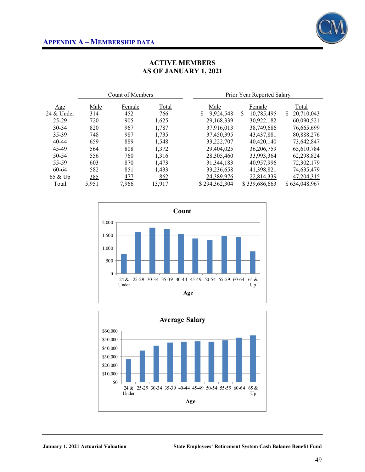

### **ACTIVE MEMBERS AS OF JANUARY 1, 2021**

| Male  | Female | <b>Total</b> |                  |   | Female                                                                                                                                                               |               | Total                      |  |
|-------|--------|--------------|------------------|---|----------------------------------------------------------------------------------------------------------------------------------------------------------------------|---------------|----------------------------|--|
| 314   | 452    | 766          | \$               | S | 10,785,495                                                                                                                                                           | \$.           | 20,710,043                 |  |
| 720   | 905    | 1,625        |                  |   | 30,922,182                                                                                                                                                           |               | 60,090,521                 |  |
| 820   | 967    | 1,787        |                  |   | 38,749,686                                                                                                                                                           |               | 76,665,699                 |  |
| 748   | 987    | 1,735        |                  |   | 43,437,881                                                                                                                                                           |               | 80,888,276                 |  |
| 659   | 889    | 1,548        |                  |   | 40,420,140                                                                                                                                                           |               | 73,642,847                 |  |
| 564   | 808    | 1,372        |                  |   | 36,206,759                                                                                                                                                           |               | 65,610,784                 |  |
| 556   | 760    | 1,316        |                  |   | 33,993,364                                                                                                                                                           |               | 62,298,824                 |  |
| 603   | 870    | 1.473        |                  |   | 40.957.996                                                                                                                                                           |               | 72,302,179                 |  |
| 582   | 851    | 1,433        |                  |   | 41,398,821                                                                                                                                                           |               | 74,635,479                 |  |
| 385   | 477    | 862          |                  |   | 22,814,339                                                                                                                                                           |               | 47, 204, 315               |  |
| 5,951 | 7,966  | 13,917       |                  |   |                                                                                                                                                                      |               | \$634,048,967              |  |
|       |        |              | Count of Members |   | Male<br>9,924,548<br>29, 168, 339<br>37,916,013<br>37,450,395<br>33,222,707<br>29,404,025<br>28,305,460<br>31, 344, 183<br>33,236,658<br>24,389,976<br>\$294,362,304 | \$339,686,663 | Prior Year Reported Salary |  |



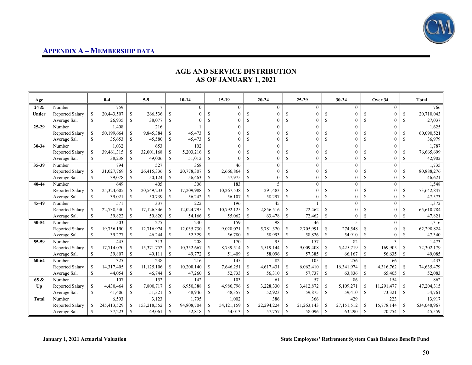

### **AGE AND SERVICE DISTRIBUTION AS OF JANUARY 1, 2021**

| Age          |                        |               | $0-4$       |               | $5-9$       |               | $10-14$    |               | $15-19$        |               | $20 - 24$                |               | $25-29$        |               | 30-34      |               | Over 34      |             | <b>Total</b> |
|--------------|------------------------|---------------|-------------|---------------|-------------|---------------|------------|---------------|----------------|---------------|--------------------------|---------------|----------------|---------------|------------|---------------|--------------|-------------|--------------|
| 24 &         | Number                 |               | 759         |               | $\tau$      |               | $\theta$   |               | $\theta$       |               | $\theta$                 |               | $\overline{0}$ |               | $\Omega$   |               | $\Omega$     |             | 766          |
| Under        | Reported Salary        | <sup>\$</sup> | 20,443,507  | <sup>\$</sup> | 266,536     | <sup>S</sup>  | $\Omega$   | \$            |                |               | $\theta$                 | S             | 0              |               | $\Omega$   |               |              | S           | 20,710,043   |
|              | Average Sal.           | <sup>\$</sup> | 26,935      | <sup>\$</sup> | 38,077      | \$            |            | <sup>\$</sup> | 0              | -S            | $\theta$                 | <sup>\$</sup> | 0              | \$.           | 0          | <sup>\$</sup> |              | \$          | 27,037       |
| $25 - 29$    | Number                 |               | 1,408       |               | 216         |               |            |               | $\Omega$       |               | $\Omega$                 |               | 0              |               | $\Omega$   |               | $\Omega$     |             | 1,625        |
|              | Reported Salary        | <sup>\$</sup> | 50,199,664  | -S            | 9,845,384   | S.            | 45,473     | \$            | $\Omega$       | S             | $\theta$                 | S             | $\theta$       | S             | $\theta$   | S             | $\theta$     | S           | 60,090,521   |
|              | Average Sal.           | <sup>\$</sup> | 35,653      | <sup>\$</sup> | 45,580      | \$            | 45,473     | \$            | $\overline{0}$ | \$            | $\theta$                 | \$            | $\overline{0}$ | \$            | $\theta$   | S             | $\theta$     | S           | 36,979       |
| $30 - 34$    | Number                 |               | 1,032       |               | 653         |               | 102        |               | $\theta$       |               | $\theta$                 |               | $\Omega$       |               | $\theta$   |               | $\Omega$     |             | 1,787        |
|              | Reported Salary        | <sup>\$</sup> | 39,461,315  | <sup>\$</sup> | 32,001,168  | <sup>\$</sup> | 5,203,216  | \$            | 0              |               | $\theta$                 | \$.           | $\theta$       |               | $\theta$   | S             |              | S           | 76,665,699   |
|              | Average Sal.           | <sup>\$</sup> | 38,238      | <sup>\$</sup> | 49,006      | $\mathbb{S}$  | 51,012     | \$            | 0              | \$            | $\theta$                 | \$            | $\theta$       | \$            | $\theta$   | S             | $\theta$     | \$          | 42,902       |
| 35-39        | Number                 |               | 794         |               | 527         |               | 368        |               | 46             |               | $\Omega$                 |               | $\overline{0}$ |               | $\theta$   |               | $\theta$     |             | 1,735        |
|              | <b>Reported Salary</b> | <sup>\$</sup> | 31,027,769  | \$            | 26,415,336  | S             | 20,778,307 | \$            | 2,666,864      | S             | $\Omega$                 | S             | 0              |               | $\Omega$   |               |              | S           | 80,888,276   |
|              | Average Sal.           | <sup>\$</sup> | 39,078      | <sup>\$</sup> | 50,124      | \$            | 56,463     | \$            | 57,975         | <sup>\$</sup> | $\theta$                 | <sup>\$</sup> | 0              | £.            | 0          | S             |              | \$          | 46,621       |
| $40 - 44$    | Number                 |               | 649         |               | 405         |               | 306        |               | 183            |               | $\overline{\phantom{0}}$ |               | $\overline{0}$ |               | $\theta$   |               | $\theta$     |             | 1,548        |
|              | Reported Salary        | <sup>\$</sup> | 25,324,605  | \$            | 20,549,233  | <sup>\$</sup> | 17,209,988 | \$            | 10,267,538     | <sup>\$</sup> | 291,483                  | \$            | 0              |               | $\theta$   | \$.           | $\Omega$     | S           | 73,642,847   |
|              | Average Sal.           | -S            | 39,021      | <sup>\$</sup> | 50,739      | \$            | 56,242     | <sup>\$</sup> | 56,107         | <sup>\$</sup> | 58,297                   | <sup>\$</sup> | 0              | \$.           | $\theta$   | S             | $\Omega$     | $\mathbf S$ | 47,573       |
| 45-49        | Number                 |               | 571         |               | 337         |               | 222        |               | 196            |               | 45                       |               |                |               | $\Omega$   |               | $\Omega$     |             | 1,372        |
|              | Reported Salary        | <sup>\$</sup> | 22,738,540  | -S            | 17,126,346  | -S            | 12,024,795 | \$            | 10,792,125     | <sup>\$</sup> | 2,856,516                | S             | 72,462         | \$            | $\Omega$   | S             | $\Omega$     | S           | 65,610,784   |
|              | Average Sal.           | -S            | 39,822      | <sup>\$</sup> | 50,820      | \$            | 54,166     | \$            | 55,062         | S.            | 63,478                   | \$            | 72,462         | S             | $\theta$   | <sup>\$</sup> |              | \$          | 47,821       |
| 50-54        | Number                 |               | 503         |               | 275         |               | 230        |               | 159            |               | 98                       |               | 46             |               | 5          |               | $\theta$     |             | 1,316        |
|              | Reported Salary        | <sup>\$</sup> | 19,756,190  | <sup>\$</sup> | 12,716,974  | <sup>\$</sup> | 12,035,730 | $\mathbb{S}$  | 9,028,071      | -S            | 5,781,320                | S             | 2,705,991      | \$            | 274,548    | S             |              | S           | 62,298,824   |
|              | Average Sal.           | <sup>\$</sup> | 39,277      | <sup>\$</sup> | 46,244      | \$            | 52,329     | \$            | 56,780         | \$            | 58,993                   | <sup>\$</sup> | 58,826         | \$            | 54,910     | <sup>\$</sup> |              | \$          | 47,340       |
| 55-59        | Number                 |               | 445         |               | 313         |               | 208        |               | 170            |               | 95                       |               | 157            |               | 82         |               | $\mathbf{3}$ |             | 1,473        |
|              | Reported Salary        | <sup>\$</sup> | 17,714,070  | \$            | 15,371,752  | \$            | 10,352,667 | \$            | 8,739,514      | <sup>\$</sup> | 5,519,144                | S             | 9,009,408      | S             | 5,425,719  | <sup>\$</sup> | 169,905      | S           | 72,302,179   |
|              | Average Sal.           | <sup>\$</sup> | 39,807      | <sup>\$</sup> | 49,111      | \$            | 49,772     | \$            | 51,409         | \$            | 58,096                   | \$            | 57,385         | <sup>\$</sup> | 66,167     | <sup>\$</sup> | 56,635       | \$          | 49,085       |
| 60-64        | Number                 |               | 325         |               | 238         |               | 216        |               | 145            |               | 82                       |               | 105            |               | 256        |               | 66           |             | 1,433        |
|              | Reported Salary        | <sup>\$</sup> | 14,317,405  | <sup>\$</sup> | 11,125,106  | <sup>\$</sup> | 10,208,140 | \$            | 7,646,251      | <sup>\$</sup> | 4,617,431                | S             | 6,062,410      | <sup>\$</sup> | 16,341,974 | <sup>\$</sup> | 4,316,762    | \$          | 74,635,479   |
|              | Average Sal.           | <sup>\$</sup> | 44,054      | <sup>\$</sup> | 46,744      | <sup>\$</sup> | 47,260     | \$            | 52,733         | $\mathbf S$   | 56,310                   | <sup>\$</sup> | 57,737         | <sup>\$</sup> | 63,836     | $\mathbb{S}$  | 65,405       | $\mathbf S$ | 52,083       |
| 65 &         | Number                 |               | 107         |               | 152         |               | 142        |               | 103            |               | 61                       |               | 57             |               | 86         |               | 154          |             | 862          |
| Up           | <b>Reported Salary</b> | <sup>\$</sup> | 4,430,464   | \$            | 7,800,717   | <sup>\$</sup> | 6,950,388  | \$            | 4,980,796      | <sup>\$</sup> | 3,228,330                | \$            | 3,412,872      | <sup>\$</sup> | 5,109,271  | \$            | 11,291,477   | S           | 47,204,315   |
|              | Average Sal            | \$            | 41,406      | <sup>\$</sup> | 51,321      | \$            | 48,946     | \$            | 48,357         | \$            | 52,923                   | \$            | 59,875         | \$            | 59,410     | \$            | 73,321       | \$          | 54,761       |
| <b>Total</b> | Number                 |               | 6,593       |               | 3,123       |               | 1.795      |               | 1,002          |               | 386                      |               | 366            |               | 429        |               | 223          |             | 13,917       |
|              | <b>Reported Salary</b> | <sup>\$</sup> | 245,413,529 | \$            | 153,218,552 | <sup>\$</sup> | 94,808,704 | \$            | 54,121,159     | <sup>\$</sup> | 22,294,224               | S.            | 21,263,143     | <sup>\$</sup> | 27,151,512 | \$            | 15,778,144   | \$          | 634,048,967  |
|              | Average Sal.           | <sup>\$</sup> | 37,223      | <sup>\$</sup> | 49,061      | <sup>\$</sup> | 52,818     | <sup>\$</sup> | 54,013         | <sup>\$</sup> | 57,757                   | <sup>\$</sup> | 58,096         | <b>S</b>      | 63,290     | \$.           | 70,754       | \$.         | 45,559       |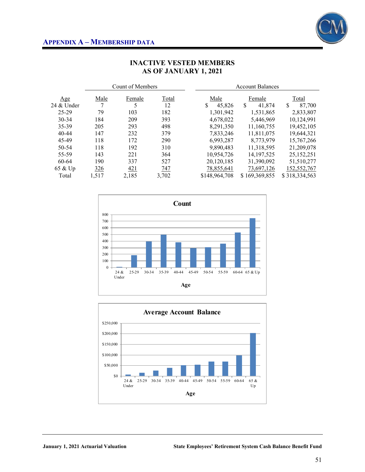

|               |             | Count of Members |              |               | <b>Account Balances</b> |               |  |  |  |
|---------------|-------------|------------------|--------------|---------------|-------------------------|---------------|--|--|--|
| Age           | <u>Male</u> | Female           | <b>Total</b> | Male          | Female                  | <b>Total</b>  |  |  |  |
| $24 \&$ Under | 7           | 5                | 12           | 45,826<br>S   | \$<br>41,874            | \$.<br>87,700 |  |  |  |
| $25 - 29$     | 79          | 103              | 182          | 1,301,942     | 1,531,865               | 2,833,807     |  |  |  |
| $30 - 34$     | 184         | 209              | 393          | 4,678,022     | 5,446,969               | 10,124,991    |  |  |  |
| 35-39         | 205         | 293              | 498          | 8,291,350     | 11,160,755              | 19.452.105    |  |  |  |
| $40 - 44$     | 147         | 232              | 379          | 7,833,246     | 11,811,075              | 19,644,321    |  |  |  |
| 45-49         | 118         | 172              | 290          | 6,993,287     | 8,773,979               | 15,767,266    |  |  |  |
| 50-54         | 118         | 192              | 310          | 9,890,483     | 11,318,595              | 21,209,078    |  |  |  |
| 55-59         | 143         | 221              | 364          | 10.954.726    | 14, 197, 525            | 25,152,251    |  |  |  |
| 60-64         | 190         | 337              | 527          | 20,120,185    | 31,390,092              | 51,510,277    |  |  |  |
| 65 & Up       | 326         | 421              | 747          | 78,855,641    | 73,697,126              | 152,552,767   |  |  |  |
| Total         | 1,517       | 2,185            | 3,702        | \$148,964,708 | \$169,369,855           | \$318,334,563 |  |  |  |

### **INACTIVE VESTED MEMBERS AS OF JANUARY 1, 2021**



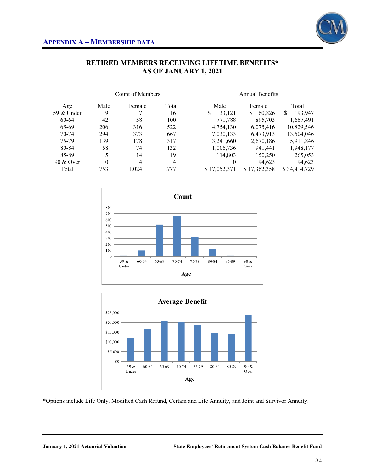

|            |          | Count of Members |                |                  | <b>Annual Benefits</b> |               |  |  |
|------------|----------|------------------|----------------|------------------|------------------------|---------------|--|--|
| Age        | Male     | Female           | Total          | Male             | Female                 | Total         |  |  |
| 59 & Under | 9        | 7                | 16             | \$<br>133,121    | 60,826<br>\$           | \$<br>193,947 |  |  |
| 60-64      | 42       | 58               | 100            | 771,788          | 895,703                | 1,667,491     |  |  |
| 65-69      | 206      | 316              | 522            | 4,754,130        | 6,075,416              | 10,829,546    |  |  |
| 70-74      | 294      | 373              | 667            | 7,030,133        | 6,473,913              | 13,504,046    |  |  |
| 75-79      | 139      | 178              | 317            | 3,241,660        | 2,670,186              | 5,911,846     |  |  |
| 80-84      | 58       | 74               | 132            | 1,006,736        | 941.441                | 1,948,177     |  |  |
| 85-89      | 5        | 14               | 19             | 114,803          | 150,250                | 265,053       |  |  |
| 90 & Over  | <u>0</u> | $\overline{4}$   | $\overline{4}$ | $\boldsymbol{0}$ | 94,623                 | 94,623        |  |  |
| Total      | 753      | 1,024            | 1,777          | \$17,052,371     | \$17,362,358           | \$34,414,729  |  |  |

### **RETIRED MEMBERS RECEIVING LIFETIME BENEFITS\* AS OF JANUARY 1, 2021**





\*Options include Life Only, Modified Cash Refund, Certain and Life Annuity, and Joint and Survivor Annuity.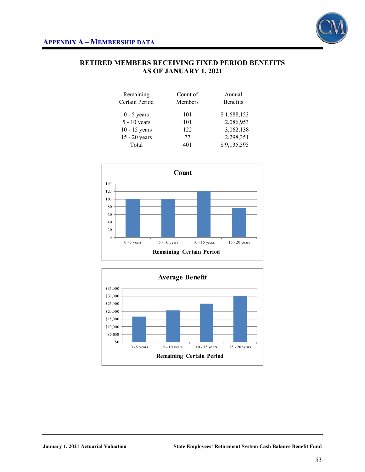

### **RETIRED MEMBERS RECEIVING FIXED PERIOD BENEFITS AS OF JANUARY 1, 2021**

| Count of | Annual      |
|----------|-------------|
| Members  | Benefits    |
| 101      | \$1,688,153 |
| 101      | 2,086,953   |
| 122      | 3,062,138   |
| 77       | 2,298,351   |
| 401      | \$9,135,595 |
|          |             |



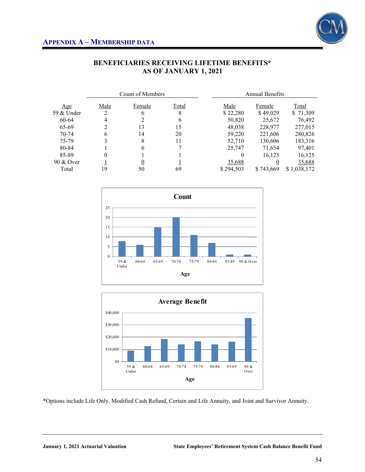

|            |      | Count of Members |       |           | Annual Benefits |             |  |  |
|------------|------|------------------|-------|-----------|-----------------|-------------|--|--|
| Age        | Male | Female           | Total | Male      | Female          | Total       |  |  |
| 59 & Under |      | 6                | 8     | \$22,280  | \$49,029        | \$71,309    |  |  |
| 60-64      | 4    |                  | 6     | 50,820    | 25,672          | 76,492      |  |  |
| 65-69      |      | 13               | 15    | 48,038    | 228,977         | 277,015     |  |  |
| $70-74$    | 6    | 14               | 20    | 59,220    | 221,606         | 280,826     |  |  |
| 75-79      |      | 8                | 11    | 52,710    | 130,606         | 183,316     |  |  |
| 80-84      |      | h                |       | 25,747    | 71,654          | 97,401      |  |  |
| 85-89      |      |                  |       | 0         | 16,125          | 16,125      |  |  |
| 90 & Over  |      |                  |       | 35,688    |                 | 35,688      |  |  |
| Total      | 19   | 50               | 69    | \$294,503 | \$743,669       | \$1,038,172 |  |  |

### **BENEFICIARIES RECEIVING LIFETIME BENEFITS\* AS OF JANUARY 1, 2021**





\*Options include Life Only, Modified Cash Refund, Certain and Life Annuity, and Joint and Survivor Annuity.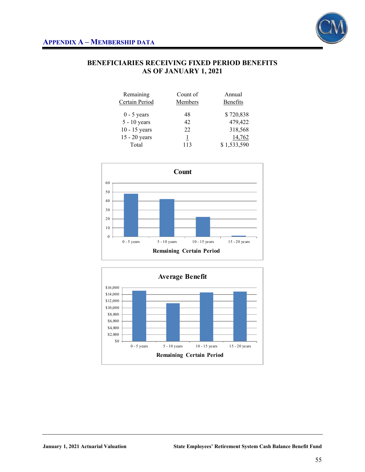

### **BENEFICIARIES RECEIVING FIXED PERIOD BENEFITS AS OF JANUARY 1, 2021**

| Remaining       | Count of | Annual      |
|-----------------|----------|-------------|
| Certain Period  | Members  | Benefits    |
| $0 - 5$ years   | 48       | \$720,838   |
| $5 - 10$ years  | 42       | 479,422     |
| $10 - 15$ years | 22       | 318,568     |
| 15 - 20 years   |          | 14,762      |
| Total           | 113      | \$1,533,590 |



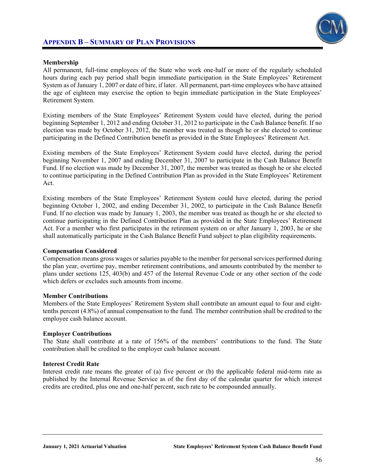### **APPENDIX B – SUMMARY OF PLAN PROVISIONS**



#### **Membership**

All permanent, full-time employees of the State who work one-half or more of the regularly scheduled hours during each pay period shall begin immediate participation in the State Employees' Retirement System as of January 1, 2007 or date of hire, if later. All permanent, part-time employees who have attained the age of eighteen may exercise the option to begin immediate participation in the State Employees' Retirement System.

Existing members of the State Employees' Retirement System could have elected, during the period beginning September 1, 2012 and ending October 31, 2012 to participate in the Cash Balance benefit. If no election was made by October 31, 2012, the member was treated as though he or she elected to continue participating in the Defined Contribution benefit as provided in the State Employees' Retirement Act.

Existing members of the State Employees' Retirement System could have elected, during the period beginning November 1, 2007 and ending December 31, 2007 to participate in the Cash Balance Benefit Fund. If no election was made by December 31, 2007, the member was treated as though he or she elected to continue participating in the Defined Contribution Plan as provided in the State Employees' Retirement Act.

Existing members of the State Employees' Retirement System could have elected, during the period beginning October 1, 2002, and ending December 31, 2002, to participate in the Cash Balance Benefit Fund. If no election was made by January 1, 2003, the member was treated as though he or she elected to continue participating in the Defined Contribution Plan as provided in the State Employees' Retirement Act. For a member who first participates in the retirement system on or after January 1, 2003, he or she shall automatically participate in the Cash Balance Benefit Fund subject to plan eligibility requirements.

#### **Compensation Considered**

Compensation means gross wages or salaries payable to the member for personal services performed during the plan year, overtime pay, member retirement contributions, and amounts contributed by the member to plans under sections 125, 403(b) and 457 of the Internal Revenue Code or any other section of the code which defers or excludes such amounts from income.

#### **Member Contributions**

Members of the State Employees' Retirement System shall contribute an amount equal to four and eighttenths percent (4.8%) of annual compensation to the fund. The member contribution shall be credited to the employee cash balance account.

#### **Employer Contributions**

The State shall contribute at a rate of 156% of the members' contributions to the fund. The State contribution shall be credited to the employer cash balance account.

#### **Interest Credit Rate**

Interest credit rate means the greater of (a) five percent or (b) the applicable federal mid-term rate as published by the Internal Revenue Service as of the first day of the calendar quarter for which interest credits are credited, plus one and one-half percent, such rate to be compounded annually.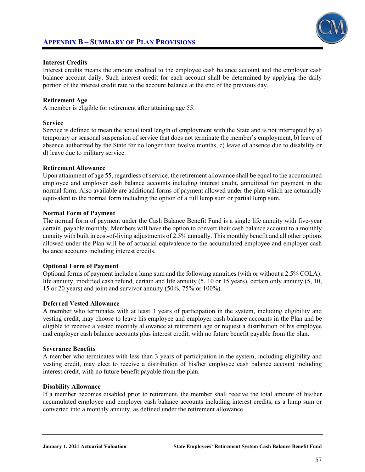

#### **Interest Credits**

Interest credits means the amount credited to the employee cash balance account and the employer cash balance account daily. Such interest credit for each account shall be determined by applying the daily portion of the interest credit rate to the account balance at the end of the previous day.

#### **Retirement Age**

A member is eligible for retirement after attaining age 55.

#### **Service**

Service is defined to mean the actual total length of employment with the State and is not interrupted by a) temporary or seasonal suspension of service that does not terminate the member's employment, b) leave of absence authorized by the State for no longer than twelve months, c) leave of absence due to disability or d) leave due to military service.

#### **Retirement Allowance**

Upon attainment of age 55, regardless of service, the retirement allowance shall be equal to the accumulated employee and employer cash balance accounts including interest credit, annuitized for payment in the normal form. Also available are additional forms of payment allowed under the plan which are actuarially equivalent to the normal form including the option of a full lump sum or partial lump sum.

#### **Normal Form of Payment**

The normal form of payment under the Cash Balance Benefit Fund is a single life annuity with five-year certain, payable monthly. Members will have the option to convert their cash balance account to a monthly annuity with built in cost-of-living adjustments of 2.5% annually. This monthly benefit and all other options allowed under the Plan will be of actuarial equivalence to the accumulated employee and employer cash balance accounts including interest credits.

#### **Optional Form of Payment**

Optional forms of payment include a lump sum and the following annuities (with or without a 2.5% COLA): life annuity, modified cash refund, certain and life annuity (5, 10 or 15 years), certain only annuity (5, 10, 15 or 20 years) and joint and survivor annuity (50%, 75% or 100%).

#### **Deferred Vested Allowance**

A member who terminates with at least 3 years of participation in the system, including eligibility and vesting credit, may choose to leave his employee and employer cash balance accounts in the Plan and be eligible to receive a vested monthly allowance at retirement age or request a distribution of his employee and employer cash balance accounts plus interest credit, with no future benefit payable from the plan.

#### **Severance Benefits**

A member who terminates with less than 3 years of participation in the system, including eligibility and vesting credit, may elect to receive a distribution of his/her employee cash balance account including interest credit, with no future benefit payable from the plan.

#### **Disability Allowance**

If a member becomes disabled prior to retirement, the member shall receive the total amount of his/her accumulated employee and employer cash balance accounts including interest credits, as a lump sum or converted into a monthly annuity, as defined under the retirement allowance.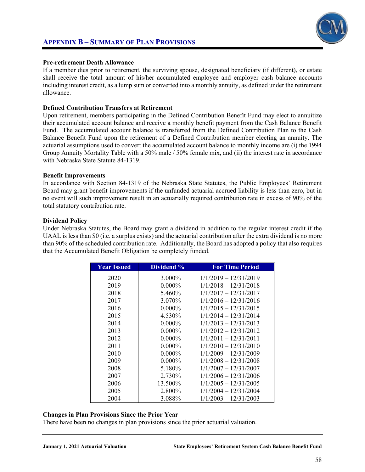



#### **Pre-retirement Death Allowance**

If a member dies prior to retirement, the surviving spouse, designated beneficiary (if different), or estate shall receive the total amount of his/her accumulated employee and employer cash balance accounts including interest credit, as a lump sum or converted into a monthly annuity, as defined under the retirement allowance.

#### **Defined Contribution Transfers at Retirement**

Upon retirement, members participating in the Defined Contribution Benefit Fund may elect to annuitize their accumulated account balance and receive a monthly benefit payment from the Cash Balance Benefit Fund. The accumulated account balance is transferred from the Defined Contribution Plan to the Cash Balance Benefit Fund upon the retirement of a Defined Contribution member electing an annuity. The actuarial assumptions used to convert the accumulated account balance to monthly income are (i) the 1994 Group Annuity Mortality Table with a 50% male / 50% female mix, and (ii) the interest rate in accordance with Nebraska State Statute 84-1319.

#### **Benefit Improvements**

In accordance with Section 84-1319 of the Nebraska State Statutes, the Public Employees' Retirement Board may grant benefit improvements if the unfunded actuarial accrued liability is less than zero, but in no event will such improvement result in an actuarially required contribution rate in excess of 90% of the total statutory contribution rate.

#### **Dividend Policy**

Under Nebraska Statutes, the Board may grant a dividend in addition to the regular interest credit if the UAAL is less than \$0 (i.e. a surplus exists) and the actuarial contribution after the extra dividend is no more than 90% of the scheduled contribution rate. Additionally, the Board has adopted a policy that also requires that the Accumulated Benefit Obligation be completely funded.

| <b>Year Issued</b> | Dividend % | <b>For Time Period</b>  |
|--------------------|------------|-------------------------|
| 2020               | 3.000%     | $1/1/2019 - 12/31/2019$ |
| 2019               | $0.000\%$  | $1/1/2018 - 12/31/2018$ |
| 2018               | 5.460%     | 1/1/2017 - 12/31/2017   |
| 2017               | 3.070\%    | 1/1/2016 - 12/31/2016   |
| 2016               | $0.000\%$  | $1/1/2015 - 12/31/2015$ |
| 2015               | 4.530%     | 1/1/2014 - 12/31/2014   |
| 2014               | $0.000\%$  | $1/1/2013 - 12/31/2013$ |
| 2013               | $0.000\%$  | 1/1/2012 - 12/31/2012   |
| 2012               | $0.000\%$  | 1/1/2011 - 12/31/2011   |
| 2011               | $0.000\%$  | $1/1/2010 - 12/31/2010$ |
| 2010               | $0.000\%$  | 1/1/2009 - 12/31/2009   |
| 2009               | $0.000\%$  | 1/1/2008 - 12/31/2008   |
| 2008               | 5.180\%    | 1/1/2007 - 12/31/2007   |
| 2007               | 2.730\%    | 1/1/2006 - 12/31/2006   |
| 2006               | 13.500%    | $1/1/2005 - 12/31/2005$ |
| 2005               | 2.800\%    | 1/1/2004 - 12/31/2004   |
| 2004               | 3.088%     | 1/1/2003 - 12/31/2003   |

#### **Changes in Plan Provisions Since the Prior Year**

There have been no changes in plan provisions since the prior actuarial valuation.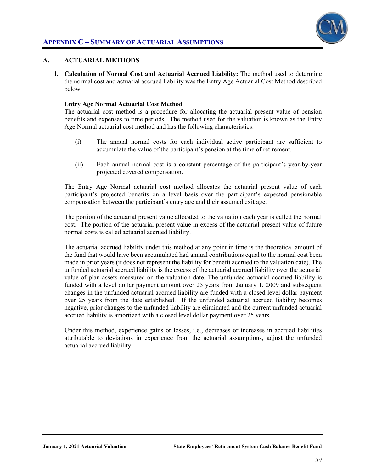

#### **A. ACTUARIAL METHODS**

**1. Calculation of Normal Cost and Actuarial Accrued Liability:** The method used to determine the normal cost and actuarial accrued liability was the Entry Age Actuarial Cost Method described below.

#### **Entry Age Normal Actuarial Cost Method**

The actuarial cost method is a procedure for allocating the actuarial present value of pension benefits and expenses to time periods. The method used for the valuation is known as the Entry Age Normal actuarial cost method and has the following characteristics:

- (i) The annual normal costs for each individual active participant are sufficient to accumulate the value of the participant's pension at the time of retirement.
- (ii) Each annual normal cost is a constant percentage of the participant's year-by-year projected covered compensation.

The Entry Age Normal actuarial cost method allocates the actuarial present value of each participant's projected benefits on a level basis over the participant's expected pensionable compensation between the participant's entry age and their assumed exit age.

The portion of the actuarial present value allocated to the valuation each year is called the normal cost. The portion of the actuarial present value in excess of the actuarial present value of future normal costs is called actuarial accrued liability.

The actuarial accrued liability under this method at any point in time is the theoretical amount of the fund that would have been accumulated had annual contributions equal to the normal cost been made in prior years (it does not represent the liability for benefit accrued to the valuation date). The unfunded actuarial accrued liability is the excess of the actuarial accrued liability over the actuarial value of plan assets measured on the valuation date. The unfunded actuarial accrued liability is funded with a level dollar payment amount over 25 years from January 1, 2009 and subsequent changes in the unfunded actuarial accrued liability are funded with a closed level dollar payment over 25 years from the date established. If the unfunded actuarial accrued liability becomes negative, prior changes to the unfunded liability are eliminated and the current unfunded actuarial accrued liability is amortized with a closed level dollar payment over 25 years.

Under this method, experience gains or losses, i.e., decreases or increases in accrued liabilities attributable to deviations in experience from the actuarial assumptions, adjust the unfunded actuarial accrued liability.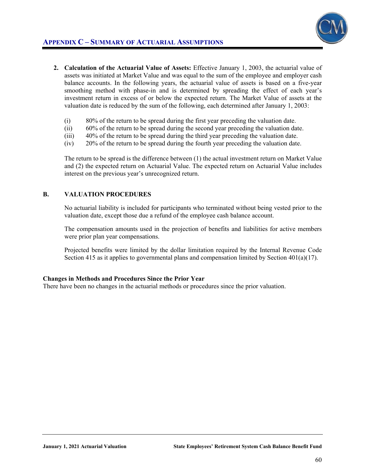

- **2. Calculation of the Actuarial Value of Assets:** Effective January 1, 2003, the actuarial value of assets was initiated at Market Value and was equal to the sum of the employee and employer cash balance accounts. In the following years, the actuarial value of assets is based on a five-year smoothing method with phase-in and is determined by spreading the effect of each year's investment return in excess of or below the expected return. The Market Value of assets at the valuation date is reduced by the sum of the following, each determined after January 1, 2003:
	- (i) 80% of the return to be spread during the first year preceding the valuation date.
	- (ii) 60% of the return to be spread during the second year preceding the valuation date.
	- (iii) 40% of the return to be spread during the third year preceding the valuation date.
	- (iv) 20% of the return to be spread during the fourth year preceding the valuation date.

The return to be spread is the difference between (1) the actual investment return on Market Value and (2) the expected return on Actuarial Value. The expected return on Actuarial Value includes interest on the previous year's unrecognized return.

#### **B. VALUATION PROCEDURES**

No actuarial liability is included for participants who terminated without being vested prior to the valuation date, except those due a refund of the employee cash balance account.

The compensation amounts used in the projection of benefits and liabilities for active members were prior plan year compensations.

Projected benefits were limited by the dollar limitation required by the Internal Revenue Code Section 415 as it applies to governmental plans and compensation limited by Section 401(a)(17).

#### **Changes in Methods and Procedures Since the Prior Year**

There have been no changes in the actuarial methods or procedures since the prior valuation.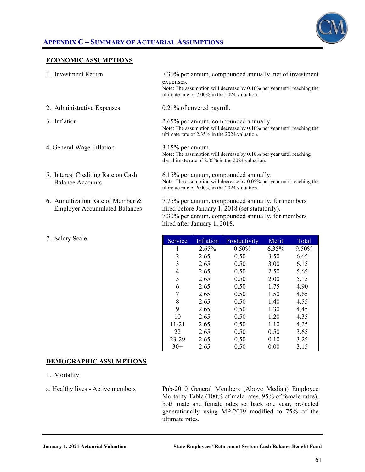

### **APPENDIX C – SUMMARY OF ACTUARIAL ASSUMPTIONS**

#### **ECONOMIC ASSUMPTIONS**

| 1. Investment Return                                                      | 7.30% per annum, compounded annually, net of investment<br>expenses.<br>Note: The assumption will decrease by $0.10\%$ per year until reaching the<br>ultimate rate of 7.00% in the 2024 valuation. |
|---------------------------------------------------------------------------|-----------------------------------------------------------------------------------------------------------------------------------------------------------------------------------------------------|
| 2. Administrative Expenses                                                | 0.21% of covered payroll.                                                                                                                                                                           |
| 3. Inflation                                                              | 2.65% per annum, compounded annually.<br>Note: The assumption will decrease by $0.10\%$ per year until reaching the<br>ultimate rate of 2.35% in the 2024 valuation.                                |
| 4. General Wage Inflation                                                 | $3.15\%$ per annum.<br>Note: The assumption will decrease by 0.10% per year until reaching<br>the ultimate rate of 2.85% in the 2024 valuation.                                                     |
| 5. Interest Crediting Rate on Cash<br><b>Balance Accounts</b>             | 6.15% per annum, compounded annually.<br>Note: The assumption will decrease by 0.05% per year until reaching the<br>ultimate rate of 6.00% in the 2024 valuation.                                   |
| 6. Annuitization Rate of Member &<br><b>Employer Accumulated Balances</b> | 7.75% per annum, compounded annually, for members<br>hired before January 1, 2018 (set statutorily).<br>7.30% per annum, compounded annually, for members<br>hired after January 1, 2018.           |

| Service   | <b>Inflation</b> | Productivity | Merit | Total |
|-----------|------------------|--------------|-------|-------|
| 1         | 2.65%            | $0.50\%$     | 6.35% | 9.50% |
| 2         | 2.65             | 0.50         | 3.50  | 6.65  |
| 3         | 2.65             | 0.50         | 3.00  | 6.15  |
| 4         | 2.65             | 0.50         | 2.50  | 5.65  |
| 5         | 2.65             | 0.50         | 2.00  | 5.15  |
| 6         | 2.65             | 0.50         | 1.75  | 4.90  |
| 7         | 2.65             | 0.50         | 1.50  | 4.65  |
| 8         | 2.65             | 0.50         | 1.40  | 4.55  |
| 9         | 2.65             | 0.50         | 1.30  | 4.45  |
| 10        | 2.65             | 0.50         | 1.20  | 4.35  |
| $11 - 21$ | 2.65             | 0.50         | 1.10  | 4.25  |
| 22        | 2.65             | 0.50         | 0.50  | 3.65  |
| 23-29     | 2.65             | 0.50         | 0.10  | 3.25  |
| $30+$     | 2.65             | 0.50         | 0.00  | 3.15  |

#### **DEMOGRAPHIC ASSUMPTIONS**

1. Mortality

7. Salary Scale

a. Healthy lives - Active members Pub-2010 General Members (Above Median) Employee Mortality Table (100% of male rates, 95% of female rates), both male and female rates set back one year, projected generationally using MP-2019 modified to 75% of the ultimate rates.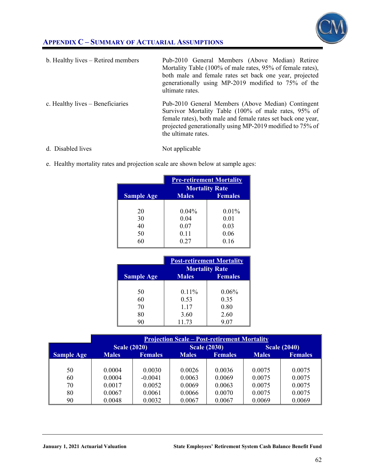## **APPENDIX C – SUMMARY OF ACTUARIAL ASSUMPTIONS**



| b. Healthy lives - Retired members | Pub-2010 General Members (Above Median) Retiree<br>Mortality Table (100% of male rates, 95% of female rates),<br>both male and female rates set back one year, projected<br>generationally using MP-2019 modified to 75% of the<br>ultimate rates.             |
|------------------------------------|----------------------------------------------------------------------------------------------------------------------------------------------------------------------------------------------------------------------------------------------------------------|
| c. Healthy lives $-$ Beneficiaries | Pub-2010 General Members (Above Median) Contingent<br>Survivor Mortality Table (100% of male rates, 95% of<br>female rates), both male and female rates set back one year,<br>projected generationally using MP-2019 modified to 75% of<br>the ultimate rates. |

- d. Disabled lives Not applicable
- e. Healthy mortality rates and projection scale are shown below at sample ages:

|                   | <b>Pre-retirement Mortality</b> |                                         |
|-------------------|---------------------------------|-----------------------------------------|
|                   | <b>Males</b>                    | <b>Mortality Rate</b><br><b>Females</b> |
| <b>Sample Age</b> |                                 |                                         |
| 20                | 0.04%                           | $0.01\%$                                |
| 30                | 0.04                            | 0.01                                    |
| 40                | 0.07                            | 0.03                                    |
| 50                | 0.11                            | 0.06                                    |
| 60                | 0.27                            | 0.16                                    |

|                   | <b>Post-retirement Mortality</b> |                |
|-------------------|----------------------------------|----------------|
|                   | <b>Mortality Rate</b>            |                |
| <b>Sample Age</b> | <b>Males</b>                     | <b>Females</b> |
|                   |                                  |                |
| 50                | 0.11%                            | 0.06%          |
| 60                | 0.53                             | 0.35           |
| 70                | 1.17                             | 0.80           |
| 80                | 3.60                             | 2.60           |
|                   | 11.73                            | 9.07           |

|                   | <b>Projection Scale – Post-retirement Mortality</b> |                |              |                     |              |                     |
|-------------------|-----------------------------------------------------|----------------|--------------|---------------------|--------------|---------------------|
|                   | <b>Scale (2020)</b>                                 |                |              | <b>Scale (2030)</b> |              | <b>Scale (2040)</b> |
| <b>Sample Age</b> | <b>Males</b>                                        | <b>Females</b> | <b>Males</b> | <b>Females</b>      | <b>Males</b> | <b>Females</b>      |
|                   |                                                     |                |              |                     |              |                     |
| 50                | 0.0004                                              | 0.0030         | 0.0026       | 0.0036              | 0.0075       | 0.0075              |
| 60                | 0.0004                                              | $-0.0041$      | 0.0063       | 0.0069              | 0.0075       | 0.0075              |
| 70                | 0.0017                                              | 0.0052         | 0.0069       | 0.0063              | 0.0075       | 0.0075              |
| 80                | 0.0067                                              | 0.0061         | 0.0066       | 0.0070              | 0.0075       | 0.0075              |
| 90                | 0.0048                                              | 0.0032         | 0.0067       | 0.0067              | 0.0069       | 0.0069              |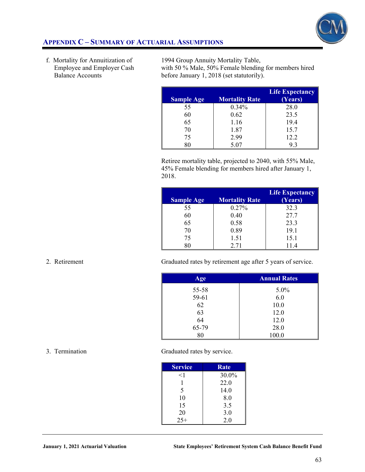

### **APPENDIX C – SUMMARY OF ACTUARIAL ASSUMPTIONS**

f. Mortality for Annuitization of Employee and Employer Cash Balance Accounts

 1994 Group Annuity Mortality Table, with 50 % Male, 50% Female blending for members hired before January 1, 2018 (set statutorily).

| <b>Sample Age</b> | <b>Mortality Rate</b> | <b>Life Expectancy</b><br>(Years) |
|-------------------|-----------------------|-----------------------------------|
| 55                | 0.34%                 | 28.0                              |
| 60                | 0.62                  | 23.5                              |
| 65                | 1.16                  | 19.4                              |
| 70                | 1.87                  | 15.7                              |
| 75                | 2.99                  | 12.2                              |
| 80                | 5.07                  | 9.3                               |

Retiree mortality table, projected to 2040, with 55% Male, 45% Female blending for members hired after January 1, 2018.

| <b>Sample Age</b> | <b>Mortality Rate</b> | <b>Life Expectancy</b><br>(Years) |
|-------------------|-----------------------|-----------------------------------|
| 55                | 0.27%                 | 32.3                              |
| 60                | 0.40                  | 27.7                              |
| 65                | 0.58                  | 23.3                              |
| 70                | 0.89                  | 19.1                              |
| 75                | 1.51                  | 15.1                              |
|                   | 2.71                  | 11.4                              |

2. Retirement Graduated rates by retirement age after 5 years of service.

| Age   | <b>Annual Rates</b> |
|-------|---------------------|
| 55-58 | 5.0%                |
| 59-61 | 6.0                 |
| 62    | 10.0                |
| 63    | 12.0                |
| 64    | 12.0                |
| 65-79 | 28.0                |
| 80    | 100.0               |

#### 3. Termination

Graduated rates by service.

| <b>Service</b> | <b>Rate</b> |
|----------------|-------------|
| $<$ 1          | 30.0%       |
|                | 22.0        |
| 5              | 14.0        |
| 10             | 8.0         |
| 15             | 3.5         |
| 20             | 3.0         |
| $25+$          | 2.0         |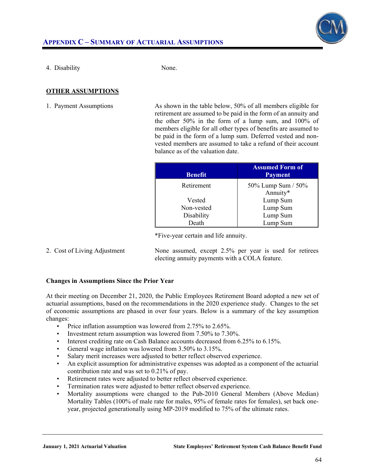

4. Disability None.

### **OTHER ASSUMPTIONS**

1. Payment Assumptions As shown in the table below, 50% of all members eligible for retirement are assumed to be paid in the form of an annuity and the other 50% in the form of a lump sum, and 100% of members eligible for all other types of benefits are assumed to be paid in the form of a lump sum. Deferred vested and nonvested members are assumed to take a refund of their account balance as of the valuation date.

| <b>Benefit</b> | <b>Assumed Form of</b><br><b>Payment</b> |
|----------------|------------------------------------------|
| Retirement     | 50% Lump Sum / 50%                       |
|                | Annuity*                                 |
| Vested         | Lump Sum                                 |
| Non-vested     | Lump Sum                                 |
| Disability     | Lump Sum                                 |
| Death          | Lump Sum                                 |

\*Five-year certain and life annuity.

2. Cost of Living Adjustment None assumed, except 2.5% per year is used for retirees electing annuity payments with a COLA feature.

#### **Changes in Assumptions Since the Prior Year**

At their meeting on December 21, 2020, the Public Employees Retirement Board adopted a new set of actuarial assumptions, based on the recommendations in the 2020 experience study. Changes to the set of economic assumptions are phased in over four years. Below is a summary of the key assumption changes:

- Price inflation assumption was lowered from 2.75% to 2.65%.
- Investment return assumption was lowered from 7.50% to 7.30%.
- Interest crediting rate on Cash Balance accounts decreased from 6.25% to 6.15%.
- General wage inflation was lowered from 3.50% to 3.15%.
- Salary merit increases were adjusted to better reflect observed experience.
- An explicit assumption for administrative expenses was adopted as a component of the actuarial contribution rate and was set to 0.21% of pay.
- Retirement rates were adjusted to better reflect observed experience.
- Termination rates were adjusted to better reflect observed experience.
- Mortality assumptions were changed to the Pub-2010 General Members (Above Median) Mortality Tables (100% of male rate for males, 95% of female rates for females), set back oneyear, projected generationally using MP-2019 modified to 75% of the ultimate rates.